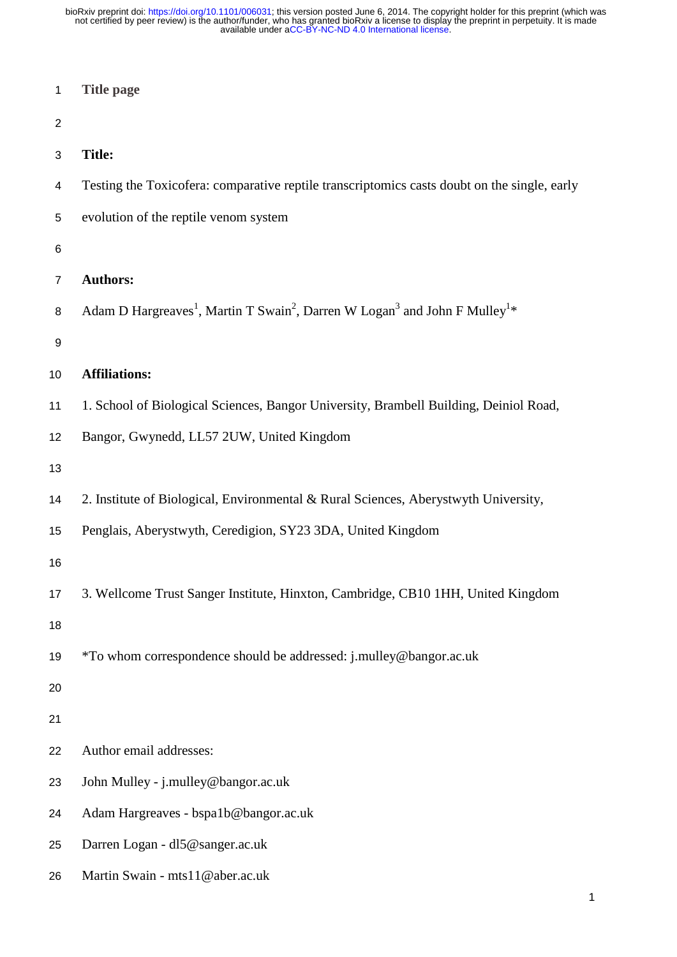| $\mathbf{1}$   | <b>Title page</b>                                                                                                          |
|----------------|----------------------------------------------------------------------------------------------------------------------------|
| $\overline{2}$ |                                                                                                                            |
| 3              | <b>Title:</b>                                                                                                              |
| 4              | Testing the Toxicofera: comparative reptile transcriptomics casts doubt on the single, early                               |
| 5              | evolution of the reptile venom system                                                                                      |
| 6              |                                                                                                                            |
| $\overline{7}$ | <b>Authors:</b>                                                                                                            |
| 8              | Adam D Hargreaves <sup>1</sup> , Martin T Swain <sup>2</sup> , Darren W Logan <sup>3</sup> and John F Mulley <sup>1*</sup> |
| 9              |                                                                                                                            |
| 10             | <b>Affiliations:</b>                                                                                                       |
| 11             | 1. School of Biological Sciences, Bangor University, Brambell Building, Deiniol Road,                                      |
| 12             | Bangor, Gwynedd, LL57 2UW, United Kingdom                                                                                  |
| 13             |                                                                                                                            |
| 14             | 2. Institute of Biological, Environmental & Rural Sciences, Aberystwyth University,                                        |
| 15             | Penglais, Aberystwyth, Ceredigion, SY23 3DA, United Kingdom                                                                |
| 16             |                                                                                                                            |
| 17             | 3. Wellcome Trust Sanger Institute, Hinxton, Cambridge, CB10 1HH, United Kingdom                                           |
| 18             |                                                                                                                            |
| 19             | *To whom correspondence should be addressed: j.mulley@bangor.ac.uk                                                         |
| 20             |                                                                                                                            |
| 21             |                                                                                                                            |
| 22             | Author email addresses:                                                                                                    |
| 23             | John Mulley - j.mulley@bangor.ac.uk                                                                                        |
| 24             | Adam Hargreaves - bspa1b@bangor.ac.uk                                                                                      |
| 25             | Darren Logan - dl5@sanger.ac.uk                                                                                            |
| 26             | Martin Swain - mts11@aber.ac.uk                                                                                            |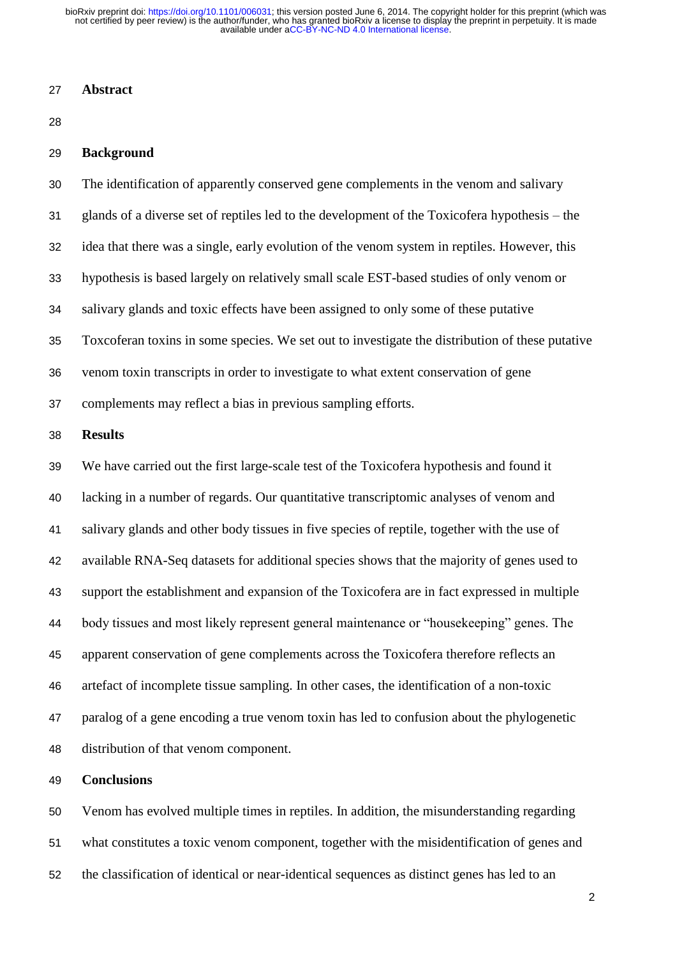### **Abstract**

### **Background**

 The identification of apparently conserved gene complements in the venom and salivary glands of a diverse set of reptiles led to the development of the Toxicofera hypothesis – the idea that there was a single, early evolution of the venom system in reptiles. However, this hypothesis is based largely on relatively small scale EST-based studies of only venom or salivary glands and toxic effects have been assigned to only some of these putative Toxcoferan toxins in some species. We set out to investigate the distribution of these putative venom toxin transcripts in order to investigate to what extent conservation of gene

complements may reflect a bias in previous sampling efforts.

### **Results**

 We have carried out the first large-scale test of the Toxicofera hypothesis and found it lacking in a number of regards. Our quantitative transcriptomic analyses of venom and salivary glands and other body tissues in five species of reptile, together with the use of available RNA-Seq datasets for additional species shows that the majority of genes used to support the establishment and expansion of the Toxicofera are in fact expressed in multiple body tissues and most likely represent general maintenance or "housekeeping" genes. The apparent conservation of gene complements across the Toxicofera therefore reflects an artefact of incomplete tissue sampling. In other cases, the identification of a non-toxic paralog of a gene encoding a true venom toxin has led to confusion about the phylogenetic distribution of that venom component.

# **Conclusions**

 Venom has evolved multiple times in reptiles. In addition, the misunderstanding regarding what constitutes a toxic venom component, together with the misidentification of genes and the classification of identical or near-identical sequences as distinct genes has led to an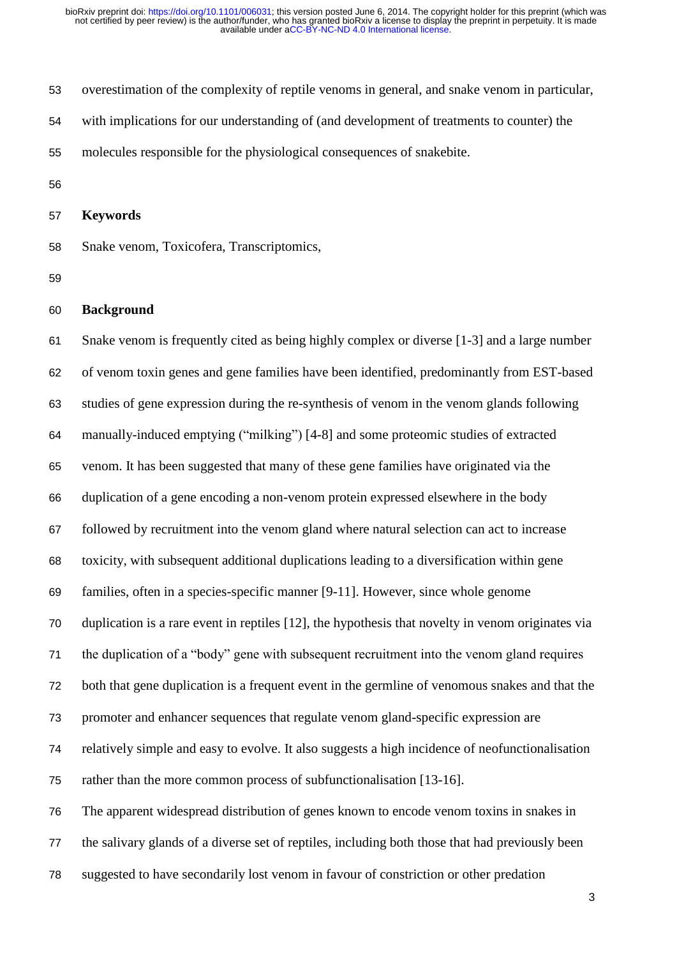overestimation of the complexity of reptile venoms in general, and snake venom in particular, with implications for our understanding of (and development of treatments to counter) the molecules responsible for the physiological consequences of snakebite.

**Keywords** 

Snake venom, Toxicofera, Transcriptomics,

#### **Background**

 Snake venom is frequently cited as being highly complex or diverse [1-3] and a large number of venom toxin genes and gene families have been identified, predominantly from EST-based studies of gene expression during the re-synthesis of venom in the venom glands following manually-induced emptying ("milking") [4-8] and some proteomic studies of extracted venom. It has been suggested that many of these gene families have originated via the duplication of a gene encoding a non-venom protein expressed elsewhere in the body followed by recruitment into the venom gland where natural selection can act to increase toxicity, with subsequent additional duplications leading to a diversification within gene families, often in a species-specific manner [9-11]. However, since whole genome duplication is a rare event in reptiles [12], the hypothesis that novelty in venom originates via the duplication of a "body" gene with subsequent recruitment into the venom gland requires both that gene duplication is a frequent event in the germline of venomous snakes and that the promoter and enhancer sequences that regulate venom gland-specific expression are relatively simple and easy to evolve. It also suggests a high incidence of neofunctionalisation rather than the more common process of subfunctionalisation [13-16]. The apparent widespread distribution of genes known to encode venom toxins in snakes in the salivary glands of a diverse set of reptiles, including both those that had previously been

suggested to have secondarily lost venom in favour of constriction or other predation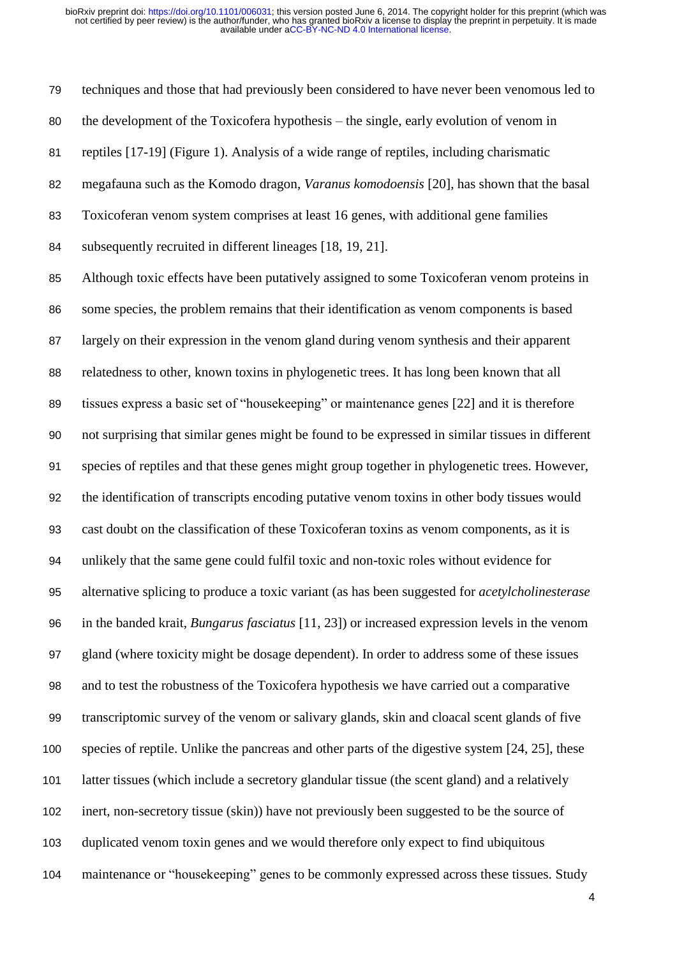techniques and those that had previously been considered to have never been venomous led to the development of the Toxicofera hypothesis – the single, early evolution of venom in reptiles [17-19] (Figure 1). Analysis of a wide range of reptiles, including charismatic megafauna such as the Komodo dragon, *Varanus komodoensis* [20], has shown that the basal Toxicoferan venom system comprises at least 16 genes, with additional gene families subsequently recruited in different lineages [18, 19, 21]. Although toxic effects have been putatively assigned to some Toxicoferan venom proteins in some species, the problem remains that their identification as venom components is based largely on their expression in the venom gland during venom synthesis and their apparent

 relatedness to other, known toxins in phylogenetic trees. It has long been known that all tissues express a basic set of "housekeeping" or maintenance genes [22] and it is therefore not surprising that similar genes might be found to be expressed in similar tissues in different species of reptiles and that these genes might group together in phylogenetic trees. However, the identification of transcripts encoding putative venom toxins in other body tissues would cast doubt on the classification of these Toxicoferan toxins as venom components, as it is unlikely that the same gene could fulfil toxic and non-toxic roles without evidence for alternative splicing to produce a toxic variant (as has been suggested for *acetylcholinesterase* in the banded krait, *Bungarus fasciatus* [11, 23]) or increased expression levels in the venom gland (where toxicity might be dosage dependent). In order to address some of these issues and to test the robustness of the Toxicofera hypothesis we have carried out a comparative transcriptomic survey of the venom or salivary glands, skin and cloacal scent glands of five species of reptile. Unlike the pancreas and other parts of the digestive system [24, 25], these latter tissues (which include a secretory glandular tissue (the scent gland) and a relatively inert, non-secretory tissue (skin)) have not previously been suggested to be the source of duplicated venom toxin genes and we would therefore only expect to find ubiquitous maintenance or "housekeeping" genes to be commonly expressed across these tissues. Study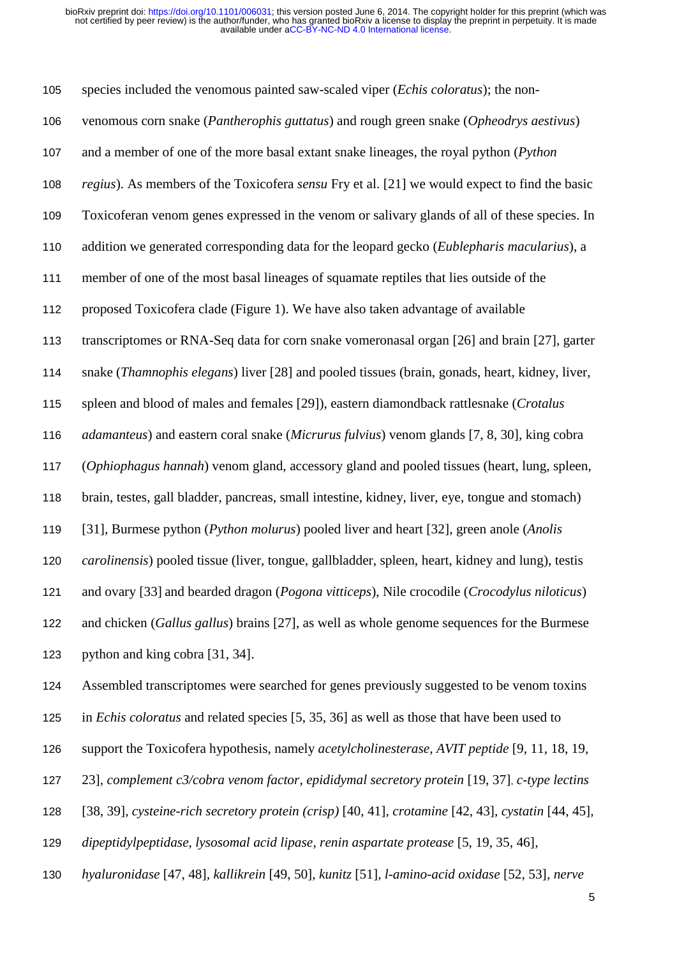species included the venomous painted saw-scaled viper (*Echis coloratus*); the non- venomous corn snake (*Pantherophis guttatus*) and rough green snake (*Opheodrys aestivus*) and a member of one of the more basal extant snake lineages, the royal python (*Python regius*). As members of the Toxicofera *sensu* Fry et al. [21] we would expect to find the basic Toxicoferan venom genes expressed in the venom or salivary glands of all of these species. In addition we generated corresponding data for the leopard gecko (*Eublepharis macularius*), a member of one of the most basal lineages of squamate reptiles that lies outside of the proposed Toxicofera clade (Figure 1). We have also taken advantage of available transcriptomes or RNA-Seq data for corn snake vomeronasal organ [26] and brain [27], garter snake (*Thamnophis elegans*) liver [28] and pooled tissues (brain, gonads, heart, kidney, liver, spleen and blood of males and females [29]), eastern diamondback rattlesnake (*Crotalus adamanteus*) and eastern coral snake (*Micrurus fulvius*) venom glands [7, 8, 30], king cobra (*Ophiophagus hannah*) venom gland, accessory gland and pooled tissues (heart, lung, spleen, brain, testes, gall bladder, pancreas, small intestine, kidney, liver, eye, tongue and stomach) [31], Burmese python (*Python molurus*) pooled liver and heart [32], green anole (*Anolis carolinensis*) pooled tissue (liver, tongue, gallbladder, spleen, heart, kidney and lung), testis and ovary [33] and bearded dragon (*Pogona vitticeps*), Nile crocodile (*Crocodylus niloticus*) and chicken (*Gallus gallus*) brains [27], as well as whole genome sequences for the Burmese python and king cobra [31, 34].

Assembled transcriptomes were searched for genes previously suggested to be venom toxins

- in *Echis coloratus* and related species [5, 35, 36] as well as those that have been used to
- support the Toxicofera hypothesis, namely *acetylcholinesterase, AVIT peptide* [9, 11, 18, 19,
- 23]*, complement c3/cobra venom factor, epididymal secretory protein* [19, 37], *c-type lectins*
- [38, 39]*, cysteine-rich secretory protein (crisp)* [40, 41]*, crotamine* [42, 43]*, cystatin* [44, 45]*,*
- *dipeptidylpeptidase, lysosomal acid lipase, renin aspartate protease* [5, 19, 35, 46]*,*
- *hyaluronidase* [47, 48]*, kallikrein* [49, 50]*, kunitz* [51]*, l-amino-acid oxidase* [52, 53]*, nerve*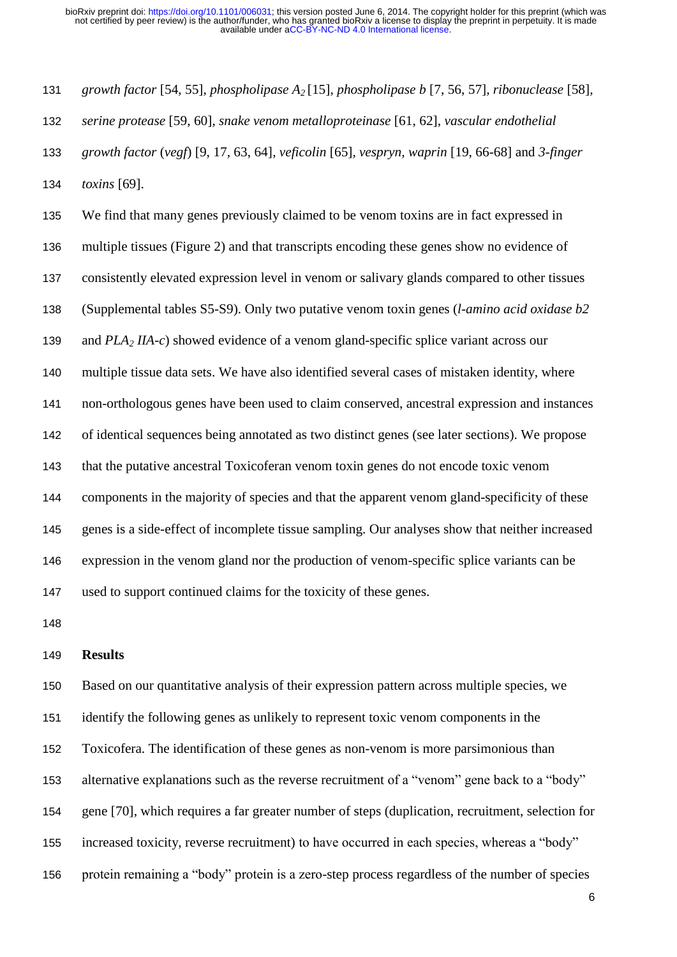*growth factor* [54, 55]*, phospholipase A2* [15]*, phospholipase b* [7, 56, 57]*, ribonuclease* [58]*, serine protease* [59, 60]*, snake venom metalloproteinase* [61, 62]*, vascular endothelial growth factor* (*vegf*) [9, 17, 63, 64]*, veficolin* [65]*, vespryn, waprin* [19, 66-68] and *3-finger toxins* [69]. We find that many genes previously claimed to be venom toxins are in fact expressed in multiple tissues (Figure 2) and that transcripts encoding these genes show no evidence of consistently elevated expression level in venom or salivary glands compared to other tissues (Supplemental tables S5-S9). Only two putative venom toxin genes (*l-amino acid oxidase b2*  and *PLA<sup>2</sup> IIA-c*) showed evidence of a venom gland-specific splice variant across our multiple tissue data sets. We have also identified several cases of mistaken identity, where non-orthologous genes have been used to claim conserved, ancestral expression and instances of identical sequences being annotated as two distinct genes (see later sections). We propose that the putative ancestral Toxicoferan venom toxin genes do not encode toxic venom components in the majority of species and that the apparent venom gland-specificity of these genes is a side-effect of incomplete tissue sampling. Our analyses show that neither increased expression in the venom gland nor the production of venom-specific splice variants can be used to support continued claims for the toxicity of these genes.

#### **Results**

 Based on our quantitative analysis of their expression pattern across multiple species, we identify the following genes as unlikely to represent toxic venom components in the Toxicofera. The identification of these genes as non-venom is more parsimonious than alternative explanations such as the reverse recruitment of a "venom" gene back to a "body" gene [70], which requires a far greater number of steps (duplication, recruitment, selection for increased toxicity, reverse recruitment) to have occurred in each species, whereas a "body" protein remaining a "body" protein is a zero-step process regardless of the number of species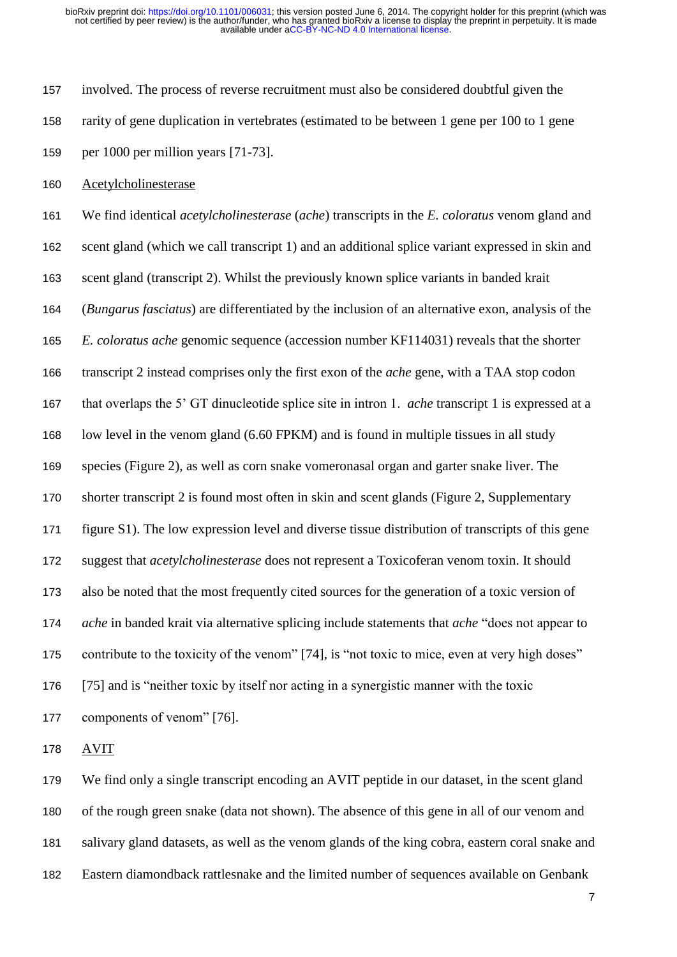involved. The process of reverse recruitment must also be considered doubtful given the rarity of gene duplication in vertebrates (estimated to be between 1 gene per 100 to 1 gene per 1000 per million years [71-73].

Acetylcholinesterase

 We find identical *acetylcholinesterase* (*ache*) transcripts in the *E. coloratus* venom gland and scent gland (which we call transcript 1) and an additional splice variant expressed in skin and scent gland (transcript 2). Whilst the previously known splice variants in banded krait (*Bungarus fasciatus*) are differentiated by the inclusion of an alternative exon, analysis of the *E. coloratus ache* genomic sequence (accession number KF114031) reveals that the shorter transcript 2 instead comprises only the first exon of the *ache* gene, with a TAA stop codon that overlaps the 5' GT dinucleotide splice site in intron 1. *ache* transcript 1 is expressed at a low level in the venom gland (6.60 FPKM) and is found in multiple tissues in all study species (Figure 2), as well as corn snake vomeronasal organ and garter snake liver. The shorter transcript 2 is found most often in skin and scent glands (Figure 2, Supplementary figure S1). The low expression level and diverse tissue distribution of transcripts of this gene suggest that *acetylcholinesterase* does not represent a Toxicoferan venom toxin. It should also be noted that the most frequently cited sources for the generation of a toxic version of *ache* in banded krait via alternative splicing include statements that *ache* "does not appear to contribute to the toxicity of the venom" [74], is "not toxic to mice, even at very high doses" [75] and is "neither toxic by itself nor acting in a synergistic manner with the toxic components of venom" [76].

AVIT

 We find only a single transcript encoding an AVIT peptide in our dataset, in the scent gland of the rough green snake (data not shown). The absence of this gene in all of our venom and salivary gland datasets, as well as the venom glands of the king cobra, eastern coral snake and Eastern diamondback rattlesnake and the limited number of sequences available on Genbank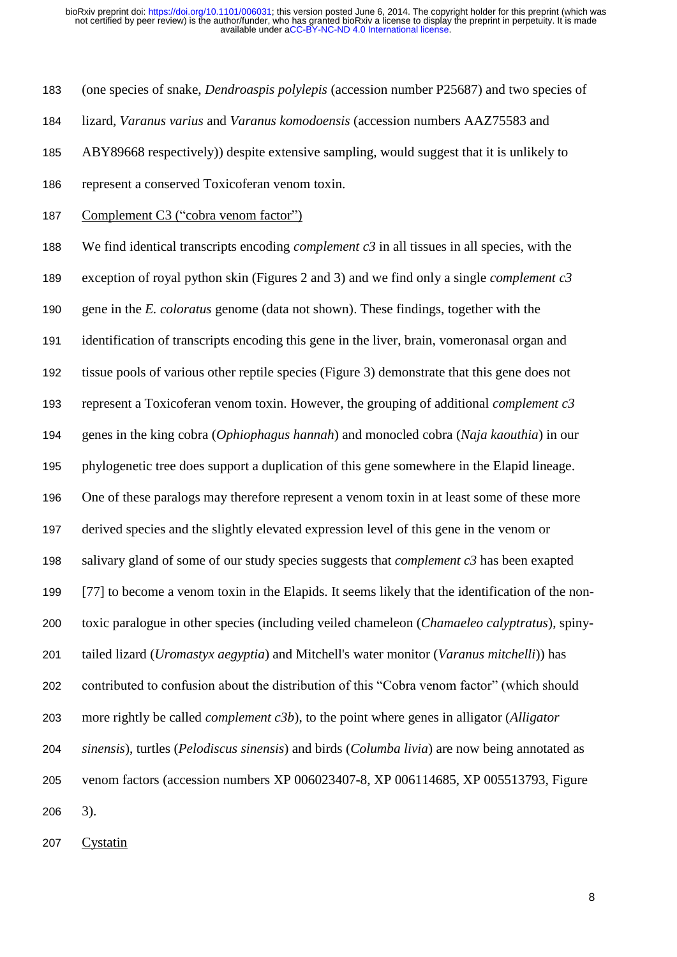(one species of snake, *Dendroaspis polylepis* (accession number P25687) and two species of

lizard, *Varanus varius* and *Varanus komodoensis* (accession numbers AAZ75583 and

ABY89668 respectively)) despite extensive sampling, would suggest that it is unlikely to

- represent a conserved Toxicoferan venom toxin.
- 187 Complement C3 ("cobra venom factor")

 We find identical transcripts encoding *complement c3* in all tissues in all species, with the exception of royal python skin (Figures 2 and 3) and we find only a single *complement c3* gene in the *E. coloratus* genome (data not shown). These findings, together with the identification of transcripts encoding this gene in the liver, brain, vomeronasal organ and tissue pools of various other reptile species (Figure 3) demonstrate that this gene does not represent a Toxicoferan venom toxin. However, the grouping of additional *complement c3* genes in the king cobra (*Ophiophagus hannah*) and monocled cobra (*Naja kaouthia*) in our phylogenetic tree does support a duplication of this gene somewhere in the Elapid lineage. One of these paralogs may therefore represent a venom toxin in at least some of these more derived species and the slightly elevated expression level of this gene in the venom or salivary gland of some of our study species suggests that *complement c3* has been exapted [77] to become a venom toxin in the Elapids. It seems likely that the identification of the non- toxic paralogue in other species (including veiled chameleon (*Chamaeleo calyptratus*), spiny- tailed lizard (*Uromastyx aegyptia*) and Mitchell's water monitor (*Varanus mitchelli*)) has contributed to confusion about the distribution of this "Cobra venom factor" (which should more rightly be called *complement c3b*), to the point where genes in alligator (*Alligator sinensis*), turtles (*Pelodiscus sinensis*) and birds (*Columba livia*) are now being annotated as venom factors (accession numbers XP 006023407-8, XP 006114685, XP 005513793, Figure 3).

Cystatin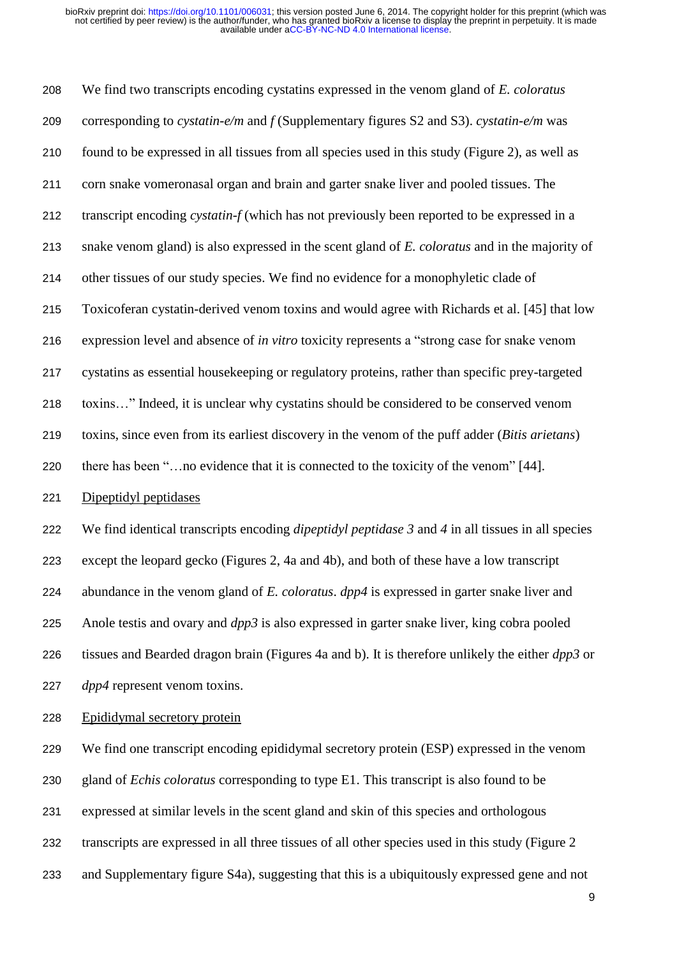We find two transcripts encoding cystatins expressed in the venom gland of *E. coloratus* corresponding to *cystatin-e/m* and *f* (Supplementary figures S2 and S3). *cystatin-e/m* was found to be expressed in all tissues from all species used in this study (Figure 2), as well as corn snake vomeronasal organ and brain and garter snake liver and pooled tissues. The transcript encoding *cystatin-f* (which has not previously been reported to be expressed in a snake venom gland) is also expressed in the scent gland of *E. coloratus* and in the majority of other tissues of our study species. We find no evidence for a monophyletic clade of Toxicoferan cystatin-derived venom toxins and would agree with Richards et al. [45] that low expression level and absence of *in vitro* toxicity represents a "strong case for snake venom cystatins as essential housekeeping or regulatory proteins, rather than specific prey-targeted toxins…" Indeed, it is unclear why cystatins should be considered to be conserved venom toxins, since even from its earliest discovery in the venom of the puff adder (*Bitis arietans*) there has been "…no evidence that it is connected to the toxicity of the venom" [44]. Dipeptidyl peptidases We find identical transcripts encoding *dipeptidyl peptidase 3* and *4* in all tissues in all species except the leopard gecko (Figures 2, 4a and 4b), and both of these have a low transcript

Anole testis and ovary and *dpp3* is also expressed in garter snake liver, king cobra pooled

abundance in the venom gland of *E. coloratus*. *dpp4* is expressed in garter snake liver and

 tissues and Bearded dragon brain (Figures 4a and b). It is therefore unlikely the either *dpp3* or *dpp4* represent venom toxins.

Epididymal secretory protein

 We find one transcript encoding epididymal secretory protein (ESP) expressed in the venom gland of *Echis coloratus* corresponding to type E1. This transcript is also found to be expressed at similar levels in the scent gland and skin of this species and orthologous transcripts are expressed in all three tissues of all other species used in this study (Figure 2 and Supplementary figure S4a), suggesting that this is a ubiquitously expressed gene and not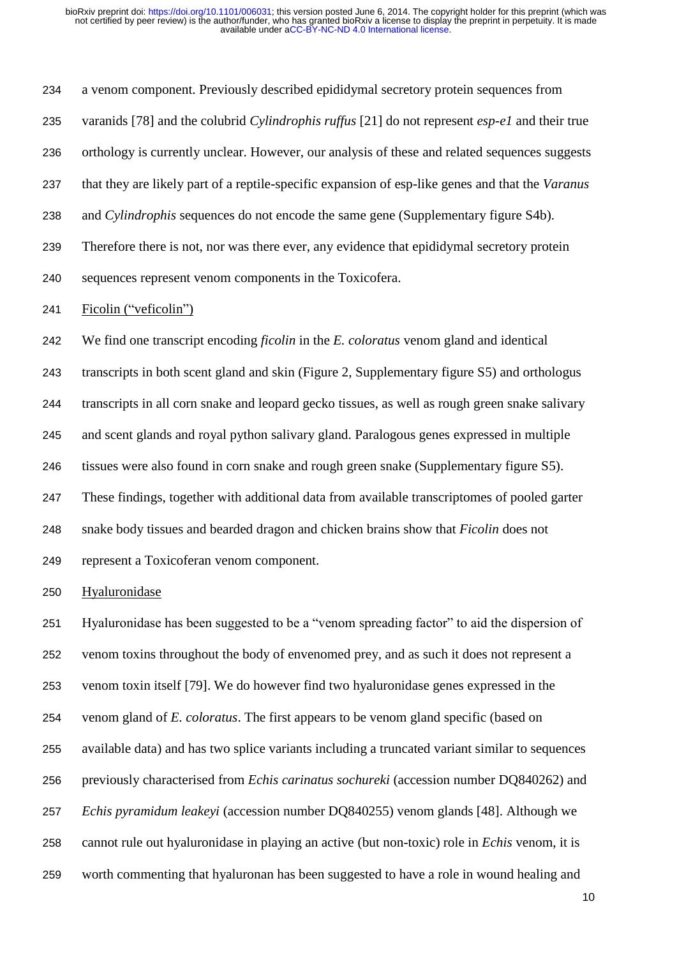a venom component. Previously described epididymal secretory protein sequences from varanids [78] and the colubrid *Cylindrophis ruffus* [21] do not represent *esp-e1* and their true orthology is currently unclear. However, our analysis of these and related sequences suggests that they are likely part of a reptile-specific expansion of esp-like genes and that the *Varanus* and *Cylindrophis* sequences do not encode the same gene (Supplementary figure S4b). Therefore there is not, nor was there ever, any evidence that epididymal secretory protein sequences represent venom components in the Toxicofera. Ficolin ("veficolin") We find one transcript encoding *ficolin* in the *E. coloratus* venom gland and identical transcripts in both scent gland and skin (Figure 2, Supplementary figure S5) and orthologus transcripts in all corn snake and leopard gecko tissues, as well as rough green snake salivary and scent glands and royal python salivary gland. Paralogous genes expressed in multiple tissues were also found in corn snake and rough green snake (Supplementary figure S5). These findings, together with additional data from available transcriptomes of pooled garter snake body tissues and bearded dragon and chicken brains show that *Ficolin* does not represent a Toxicoferan venom component.

Hyaluronidase

 Hyaluronidase has been suggested to be a "venom spreading factor" to aid the dispersion of venom toxins throughout the body of envenomed prey, and as such it does not represent a venom toxin itself [79]. We do however find two hyaluronidase genes expressed in the venom gland of *E. coloratus*. The first appears to be venom gland specific (based on available data) and has two splice variants including a truncated variant similar to sequences previously characterised from *Echis carinatus sochureki* (accession number DQ840262) and *Echis pyramidum leakeyi* (accession number DQ840255) venom glands [48]. Although we cannot rule out hyaluronidase in playing an active (but non-toxic) role in *Echis* venom, it is worth commenting that hyaluronan has been suggested to have a role in wound healing and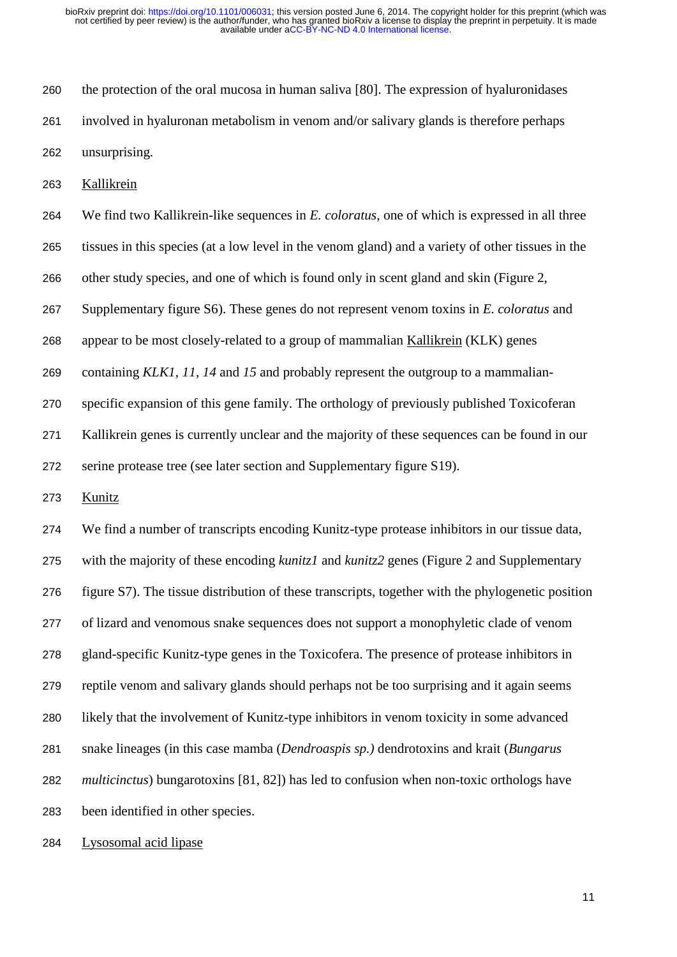the protection of the oral mucosa in human saliva [80]. The expression of hyaluronidases involved in hyaluronan metabolism in venom and/or salivary glands is therefore perhaps unsurprising.

Kallikrein

 We find two Kallikrein-like sequences in *E. coloratus*, one of which is expressed in all three tissues in this species (at a low level in the venom gland) and a variety of other tissues in the other study species, and one of which is found only in scent gland and skin (Figure 2, Supplementary figure S6). These genes do not represent venom toxins in *E. coloratus* and appear to be most closely-related to a group of mammalian Kallikrein (KLK) genes containing *KLK1*, *11*, *14* and *15* and probably represent the outgroup to a mammalian- specific expansion of this gene family. The orthology of previously published Toxicoferan Kallikrein genes is currently unclear and the majority of these sequences can be found in our serine protease tree (see later section and Supplementary figure S19).

Kunitz

 We find a number of transcripts encoding Kunitz-type protease inhibitors in our tissue data, with the majority of these encoding *kunitz1* and *kunitz2* genes (Figure 2 and Supplementary figure S7). The tissue distribution of these transcripts, together with the phylogenetic position of lizard and venomous snake sequences does not support a monophyletic clade of venom gland-specific Kunitz-type genes in the Toxicofera. The presence of protease inhibitors in reptile venom and salivary glands should perhaps not be too surprising and it again seems likely that the involvement of Kunitz-type inhibitors in venom toxicity in some advanced snake lineages (in this case mamba (*Dendroaspis sp.)* dendrotoxins and krait (*Bungarus multicinctus*) bungarotoxins [81, 82]) has led to confusion when non-toxic orthologs have been identified in other species.

Lysosomal acid lipase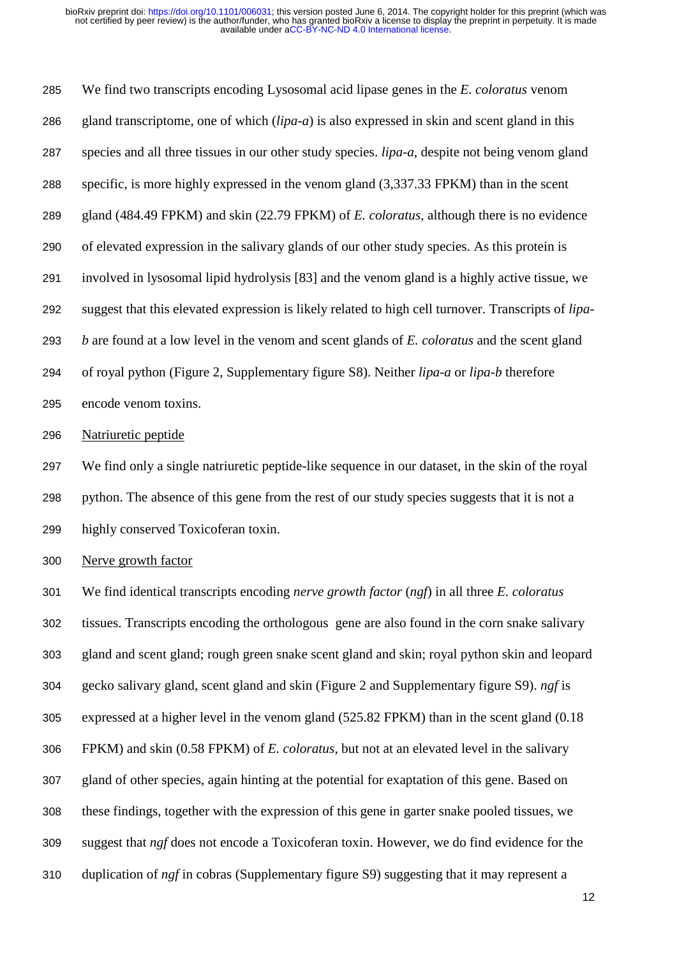We find two transcripts encoding Lysosomal acid lipase genes in the *E. coloratus* venom gland transcriptome, one of which (*lipa-a*) is also expressed in skin and scent gland in this species and all three tissues in our other study species. *lipa-a*, despite not being venom gland specific, is more highly expressed in the venom gland (3,337.33 FPKM) than in the scent gland (484.49 FPKM) and skin (22.79 FPKM) of *E. coloratus,* although there is no evidence of elevated expression in the salivary glands of our other study species. As this protein is involved in lysosomal lipid hydrolysis [83] and the venom gland is a highly active tissue, we suggest that this elevated expression is likely related to high cell turnover. Transcripts of *lipa- b* are found at a low level in the venom and scent glands of *E. coloratus* and the scent gland of royal python (Figure 2, Supplementary figure S8). Neither *lipa-a* or *lipa-b* therefore encode venom toxins.

Natriuretic peptide

 We find only a single natriuretic peptide-like sequence in our dataset, in the skin of the royal python. The absence of this gene from the rest of our study species suggests that it is not a highly conserved Toxicoferan toxin.

Nerve growth factor

 We find identical transcripts encoding *nerve growth factor* (*ngf*) in all three *E. coloratus* tissues. Transcripts encoding the orthologous gene are also found in the corn snake salivary gland and scent gland; rough green snake scent gland and skin; royal python skin and leopard gecko salivary gland, scent gland and skin (Figure 2 and Supplementary figure S9). *ngf* is expressed at a higher level in the venom gland (525.82 FPKM) than in the scent gland (0.18 FPKM) and skin (0.58 FPKM) of *E. coloratus*, but not at an elevated level in the salivary gland of other species, again hinting at the potential for exaptation of this gene. Based on these findings, together with the expression of this gene in garter snake pooled tissues, we suggest that *ngf* does not encode a Toxicoferan toxin. However, we do find evidence for the duplication of *ngf* in cobras (Supplementary figure S9) suggesting that it may represent a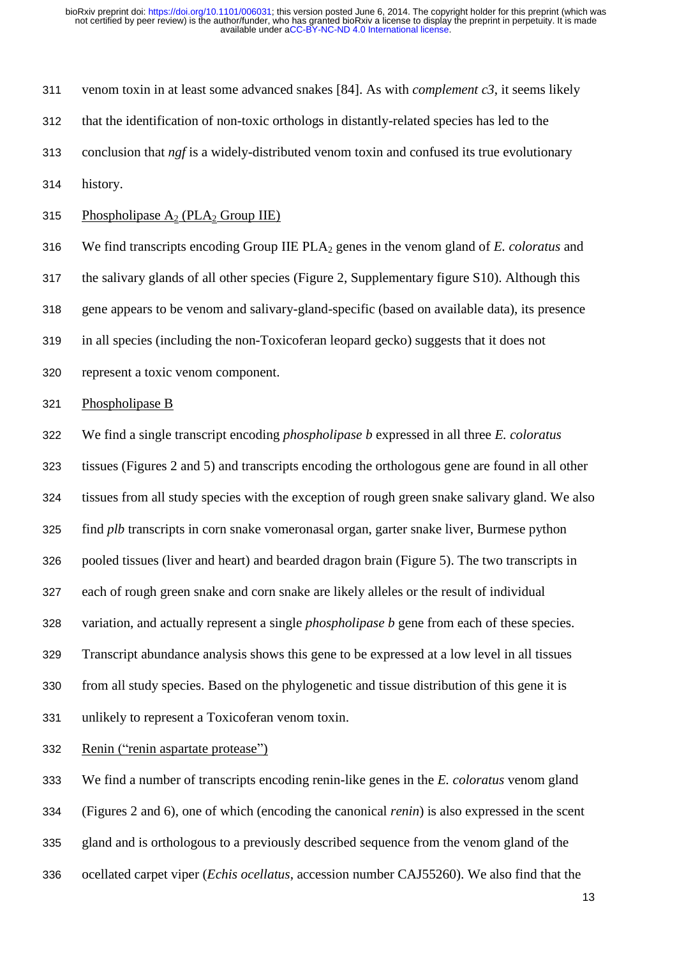venom toxin in at least some advanced snakes [84]. As with *complement c3*, it seems likely that the identification of non-toxic orthologs in distantly-related species has led to the conclusion that *ngf* is a widely-distributed venom toxin and confused its true evolutionary history. 315 Phospholipase  $A_2$  (PLA<sub>2</sub> Group IIE) We find transcripts encoding Group IIE PLA<sup>2</sup> genes in the venom gland of *E. coloratus* and the salivary glands of all other species (Figure 2, Supplementary figure S10). Although this gene appears to be venom and salivary-gland-specific (based on available data), its presence in all species (including the non-Toxicoferan leopard gecko) suggests that it does not represent a toxic venom component. Phospholipase B

We find a single transcript encoding *phospholipase b* expressed in all three *E. coloratus*

tissues (Figures 2 and 5) and transcripts encoding the orthologous gene are found in all other

tissues from all study species with the exception of rough green snake salivary gland. We also

find *plb* transcripts in corn snake vomeronasal organ, garter snake liver, Burmese python

pooled tissues (liver and heart) and bearded dragon brain (Figure 5). The two transcripts in

each of rough green snake and corn snake are likely alleles or the result of individual

variation, and actually represent a single *phospholipase b* gene from each of these species.

Transcript abundance analysis shows this gene to be expressed at a low level in all tissues

from all study species. Based on the phylogenetic and tissue distribution of this gene it is

unlikely to represent a Toxicoferan venom toxin.

Renin ("renin aspartate protease")

We find a number of transcripts encoding renin-like genes in the *E. coloratus* venom gland

(Figures 2 and 6), one of which (encoding the canonical *renin*) is also expressed in the scent

gland and is orthologous to a previously described sequence from the venom gland of the

ocellated carpet viper (*Echis ocellatus*, accession number CAJ55260). We also find that the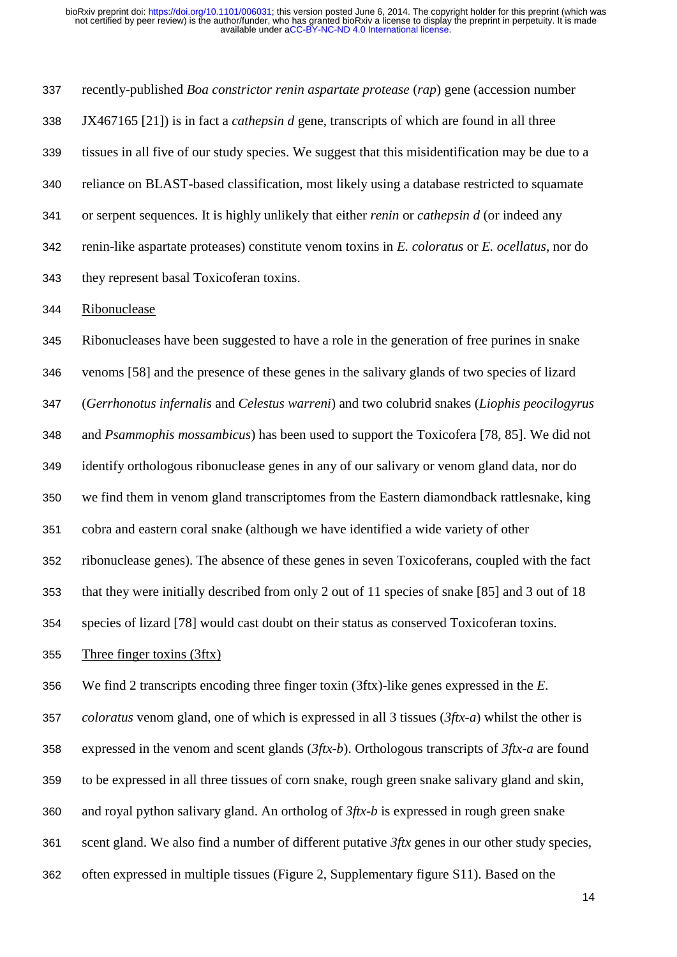recently-published *Boa constrictor renin aspartate protease* (*rap*) gene (accession number JX467165 [21]) is in fact a *cathepsin d* gene, transcripts of which are found in all three tissues in all five of our study species. We suggest that this misidentification may be due to a reliance on BLAST-based classification, most likely using a database restricted to squamate or serpent sequences. It is highly unlikely that either *renin* or *cathepsin d* (or indeed any renin-like aspartate proteases) constitute venom toxins in *E. coloratus* or *E. ocellatus*, nor do they represent basal Toxicoferan toxins.

Ribonuclease

 Ribonucleases have been suggested to have a role in the generation of free purines in snake venoms [58] and the presence of these genes in the salivary glands of two species of lizard (*Gerrhonotus infernalis* and *Celestus warreni*) and two colubrid snakes (*Liophis peocilogyrus* and *Psammophis mossambicus*) has been used to support the Toxicofera [78, 85]. We did not identify orthologous ribonuclease genes in any of our salivary or venom gland data, nor do we find them in venom gland transcriptomes from the Eastern diamondback rattlesnake, king cobra and eastern coral snake (although we have identified a wide variety of other ribonuclease genes). The absence of these genes in seven Toxicoferans, coupled with the fact that they were initially described from only 2 out of 11 species of snake [85] and 3 out of 18 species of lizard [78] would cast doubt on their status as conserved Toxicoferan toxins.

Three finger toxins (3ftx)

We find 2 transcripts encoding three finger toxin (3ftx)-like genes expressed in the *E.* 

*coloratus* venom gland, one of which is expressed in all 3 tissues (*3ftx-a*) whilst the other is

expressed in the venom and scent glands (*3ftx-b*). Orthologous transcripts of *3ftx-a* are found

to be expressed in all three tissues of corn snake, rough green snake salivary gland and skin,

and royal python salivary gland. An ortholog of *3ftx-b* is expressed in rough green snake

scent gland. We also find a number of different putative *3ftx* genes in our other study species,

often expressed in multiple tissues (Figure 2, Supplementary figure S11). Based on the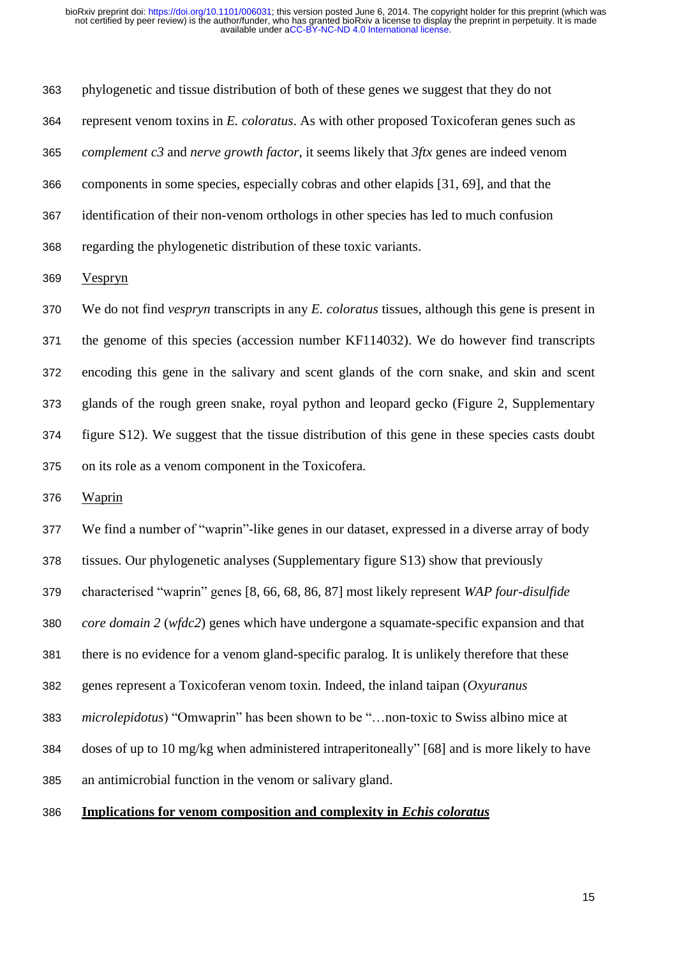phylogenetic and tissue distribution of both of these genes we suggest that they do not represent venom toxins in *E. coloratus*. As with other proposed Toxicoferan genes such as *complement c3* and *nerve growth factor*, it seems likely that *3ftx* genes are indeed venom components in some species, especially cobras and other elapids [31, 69], and that the identification of their non-venom orthologs in other species has led to much confusion regarding the phylogenetic distribution of these toxic variants.

Vespryn

 We do not find *vespryn* transcripts in any *E. coloratus* tissues, although this gene is present in the genome of this species (accession number KF114032). We do however find transcripts encoding this gene in the salivary and scent glands of the corn snake, and skin and scent glands of the rough green snake, royal python and leopard gecko (Figure 2, Supplementary figure S12). We suggest that the tissue distribution of this gene in these species casts doubt on its role as a venom component in the Toxicofera.

Waprin

We find a number of "waprin"-like genes in our dataset, expressed in a diverse array of body

tissues. Our phylogenetic analyses (Supplementary figure S13) show that previously

characterised "waprin" genes [8, 66, 68, 86, 87] most likely represent *WAP four-disulfide* 

*core domain 2* (*wfdc2*) genes which have undergone a squamate-specific expansion and that

there is no evidence for a venom gland-specific paralog. It is unlikely therefore that these

genes represent a Toxicoferan venom toxin. Indeed, the inland taipan (*Oxyuranus* 

*microlepidotus*) "Omwaprin" has been shown to be "…non-toxic to Swiss albino mice at

doses of up to 10 mg/kg when administered intraperitoneally" [68] and is more likely to have

an antimicrobial function in the venom or salivary gland.

# **Implications for venom composition and complexity in** *Echis coloratus*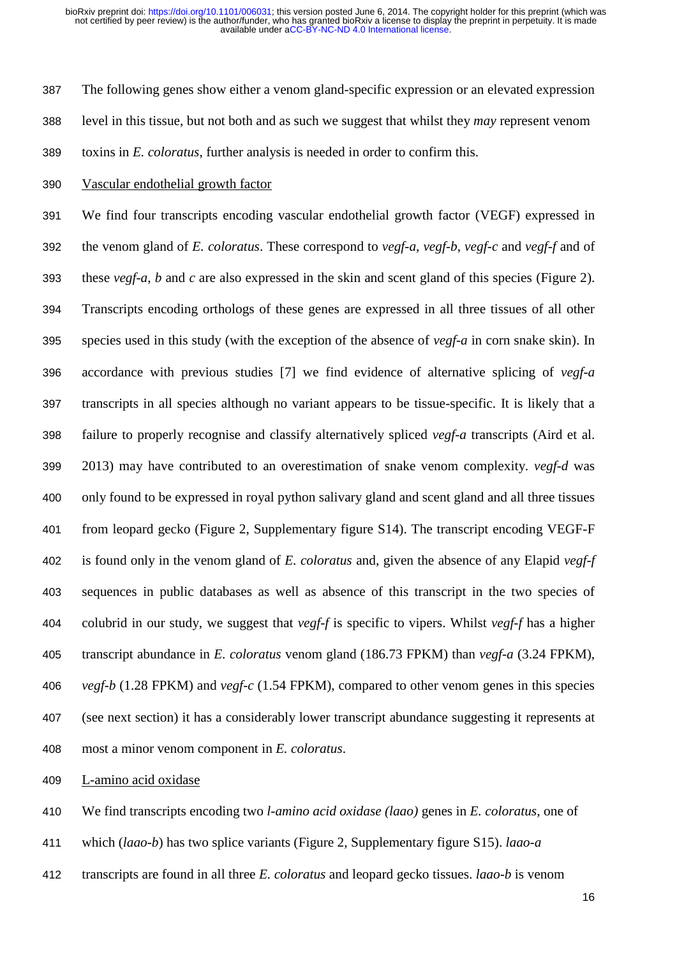The following genes show either a venom gland-specific expression or an elevated expression level in this tissue, but not both and as such we suggest that whilst they *may* represent venom

toxins in *E. coloratus*, further analysis is needed in order to confirm this.

Vascular endothelial growth factor

 We find four transcripts encoding vascular endothelial growth factor (VEGF) expressed in the venom gland of *E. coloratus*. These correspond to *vegf-a*, *vegf-b*, *vegf-c* and *vegf-f* and of these *vegf-a*, *b* and *c* are also expressed in the skin and scent gland of this species (Figure 2). Transcripts encoding orthologs of these genes are expressed in all three tissues of all other species used in this study (with the exception of the absence of *vegf-a* in corn snake skin). In accordance with previous studies [7] we find evidence of alternative splicing of *vegf-a* transcripts in all species although no variant appears to be tissue-specific. It is likely that a failure to properly recognise and classify alternatively spliced *vegf-a* transcripts (Aird et al. 2013) may have contributed to an overestimation of snake venom complexity. *vegf-d* was only found to be expressed in royal python salivary gland and scent gland and all three tissues from leopard gecko (Figure 2, Supplementary figure S14). The transcript encoding VEGF-F is found only in the venom gland of *E. coloratus* and, given the absence of any Elapid *vegf-f* sequences in public databases as well as absence of this transcript in the two species of colubrid in our study, we suggest that *vegf-f* is specific to vipers. Whilst *vegf-f* has a higher transcript abundance in *E. coloratus* venom gland (186.73 FPKM) than *vegf-a* (3.24 FPKM), *vegf-b* (1.28 FPKM) and *vegf-c* (1.54 FPKM), compared to other venom genes in this species (see next section) it has a considerably lower transcript abundance suggesting it represents at most a minor venom component in *E. coloratus*.

L-amino acid oxidase

We find transcripts encoding two *l-amino acid oxidase (laao)* genes in *E. coloratus*, one of

- which (*laao-b*) has two splice variants (Figure 2, Supplementary figure S15). *laao-a*
- transcripts are found in all three *E. coloratus* and leopard gecko tissues. *laao-b* is venom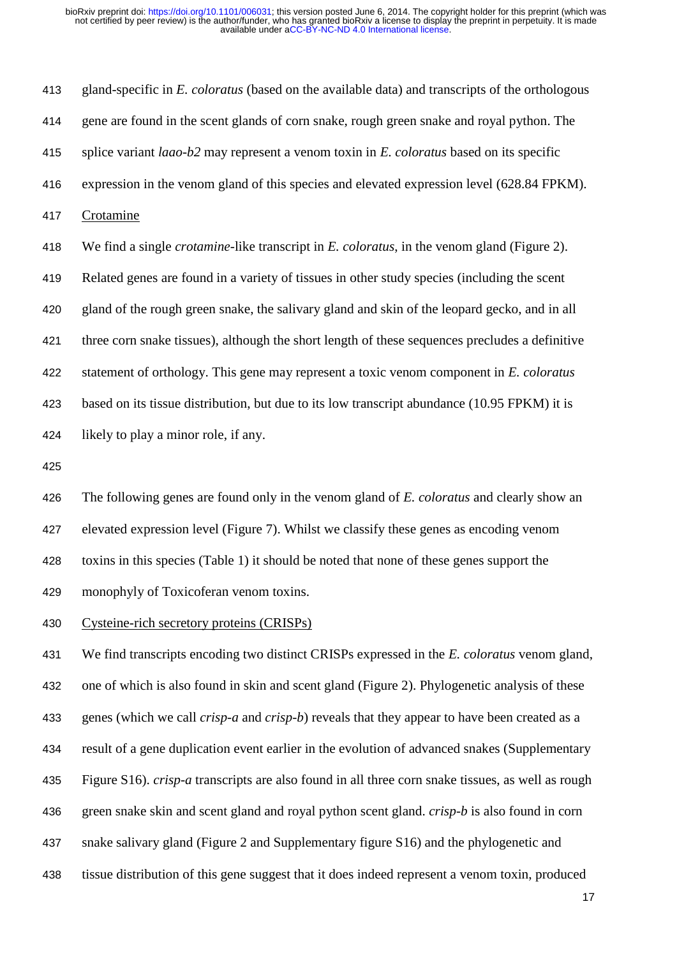gland-specific in *E. coloratus* (based on the available data) and transcripts of the orthologous gene are found in the scent glands of corn snake, rough green snake and royal python. The splice variant *laao-b2* may represent a venom toxin in *E. coloratus* based on its specific expression in the venom gland of this species and elevated expression level (628.84 FPKM). Crotamine We find a single *crotamine*-like transcript in *E. coloratus*, in the venom gland (Figure 2). Related genes are found in a variety of tissues in other study species (including the scent gland of the rough green snake, the salivary gland and skin of the leopard gecko, and in all three corn snake tissues), although the short length of these sequences precludes a definitive statement of orthology. This gene may represent a toxic venom component in *E. coloratus*  based on its tissue distribution, but due to its low transcript abundance (10.95 FPKM) it is likely to play a minor role, if any.

 The following genes are found only in the venom gland of *E. coloratus* and clearly show an elevated expression level (Figure 7). Whilst we classify these genes as encoding venom toxins in this species (Table 1) it should be noted that none of these genes support the monophyly of Toxicoferan venom toxins.

Cysteine-rich secretory proteins (CRISPs)

 We find transcripts encoding two distinct CRISPs expressed in the *E. coloratus* venom gland, one of which is also found in skin and scent gland (Figure 2). Phylogenetic analysis of these genes (which we call *crisp-a* and *crisp-b*) reveals that they appear to have been created as a result of a gene duplication event earlier in the evolution of advanced snakes (Supplementary Figure S16). *crisp-a* transcripts are also found in all three corn snake tissues, as well as rough green snake skin and scent gland and royal python scent gland. *crisp-b* is also found in corn snake salivary gland (Figure 2 and Supplementary figure S16) and the phylogenetic and tissue distribution of this gene suggest that it does indeed represent a venom toxin, produced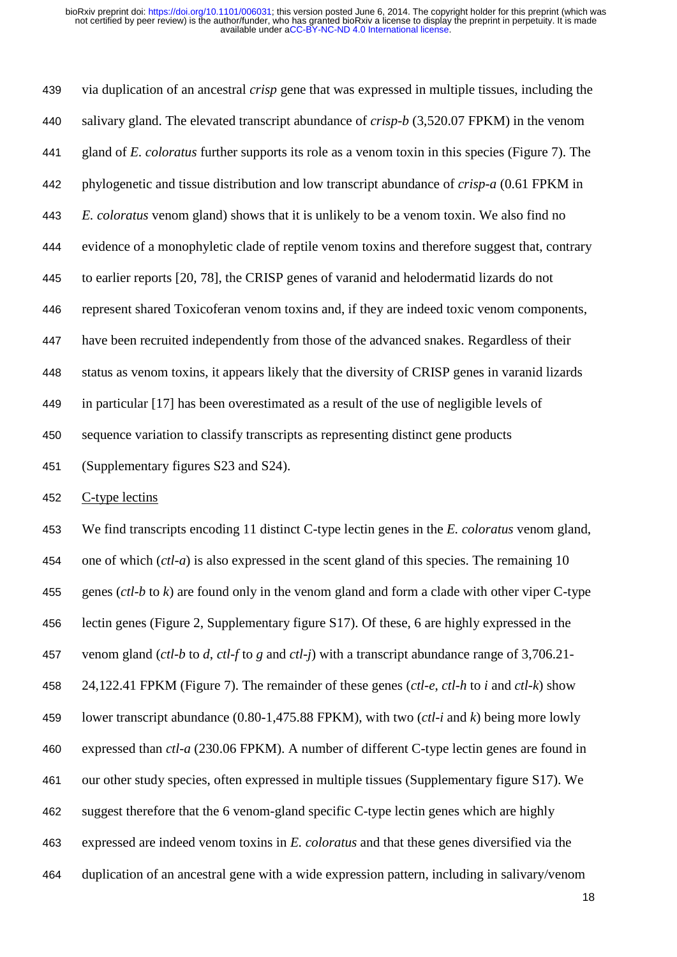via duplication of an ancestral *crisp* gene that was expressed in multiple tissues, including the salivary gland. The elevated transcript abundance of *crisp-b* (3,520.07 FPKM) in the venom gland of *E. coloratus* further supports its role as a venom toxin in this species (Figure 7). The phylogenetic and tissue distribution and low transcript abundance of *crisp-a* (0.61 FPKM in *E. coloratus* venom gland) shows that it is unlikely to be a venom toxin. We also find no evidence of a monophyletic clade of reptile venom toxins and therefore suggest that, contrary to earlier reports [20, 78], the CRISP genes of varanid and helodermatid lizards do not represent shared Toxicoferan venom toxins and, if they are indeed toxic venom components, have been recruited independently from those of the advanced snakes. Regardless of their status as venom toxins, it appears likely that the diversity of CRISP genes in varanid lizards in particular [17] has been overestimated as a result of the use of negligible levels of sequence variation to classify transcripts as representing distinct gene products (Supplementary figures S23 and S24).

C-type lectins

 We find transcripts encoding 11 distinct C-type lectin genes in the *E. coloratus* venom gland, one of which (*ctl-a*) is also expressed in the scent gland of this species. The remaining 10 genes (*ctl-b* to *k*) are found only in the venom gland and form a clade with other viper C-type lectin genes (Figure 2, Supplementary figure S17). Of these, 6 are highly expressed in the venom gland (*ctl-b* to *d*, *ctl-f* to *g* and *ctl-j*) with a transcript abundance range of 3,706.21- 24,122.41 FPKM (Figure 7). The remainder of these genes (*ctl-e*, *ctl-h* to *i* and *ctl-k*) show lower transcript abundance (0.80-1,475.88 FPKM), with two (*ctl-i* and *k*) being more lowly expressed than *ctl-a* (230.06 FPKM). A number of different C-type lectin genes are found in our other study species, often expressed in multiple tissues (Supplementary figure S17). We suggest therefore that the 6 venom-gland specific C-type lectin genes which are highly expressed are indeed venom toxins in *E. coloratus* and that these genes diversified via the duplication of an ancestral gene with a wide expression pattern, including in salivary/venom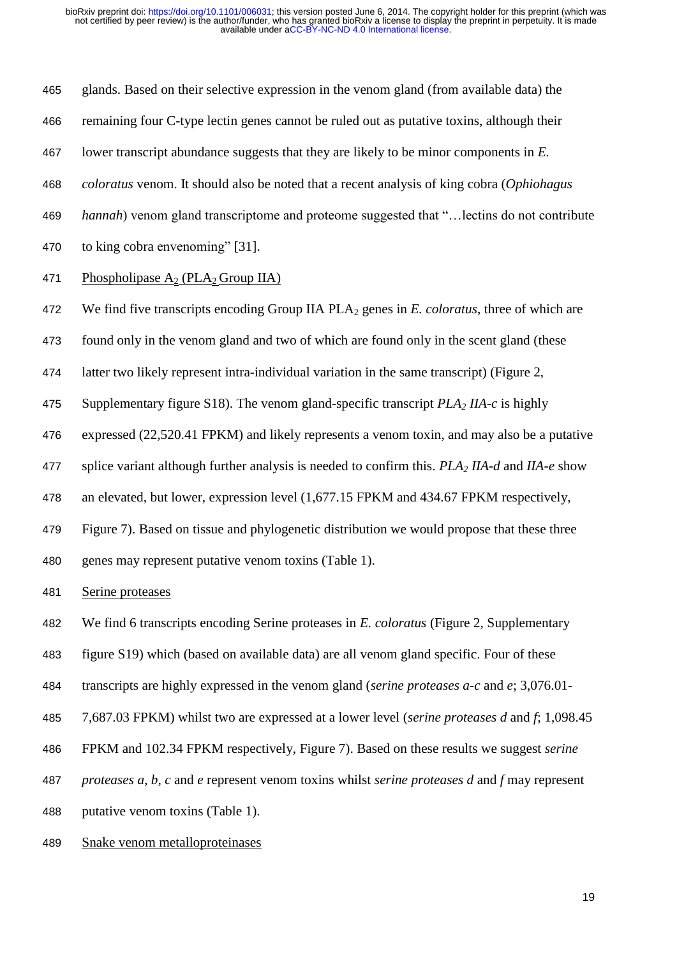glands. Based on their selective expression in the venom gland (from available data) the

- remaining four C-type lectin genes cannot be ruled out as putative toxins, although their
- lower transcript abundance suggests that they are likely to be minor components in *E.*
- *coloratus* venom. It should also be noted that a recent analysis of king cobra (*Ophiohagus*
- *hannah*) venom gland transcriptome and proteome suggested that "…lectins do not contribute
- to king cobra envenoming" [31].

# 471 Phospholipase  $A_2$  (PLA<sub>2</sub> Group IIA)

- 472 We find five transcripts encoding Group IIA PLA<sub>2</sub> genes in *E. coloratus*, three of which are
- found only in the venom gland and two of which are found only in the scent gland (these
- latter two likely represent intra-individual variation in the same transcript) (Figure 2,
- Supplementary figure S18). The venom gland-specific transcript *PLA<sup>2</sup> IIA-c* is highly
- expressed (22,520.41 FPKM) and likely represents a venom toxin, and may also be a putative
- splice variant although further analysis is needed to confirm this. *PLA<sup>2</sup> IIA-d* and *IIA-e* show
- an elevated, but lower, expression level (1,677.15 FPKM and 434.67 FPKM respectively,
- Figure 7). Based on tissue and phylogenetic distribution we would propose that these three
- genes may represent putative venom toxins (Table 1).

Serine proteases

- We find 6 transcripts encoding Serine proteases in *E. coloratus* (Figure 2, Supplementary
- figure S19) which (based on available data) are all venom gland specific. Four of these
- transcripts are highly expressed in the venom gland (*serine proteases a-c* and *e*; 3,076.01-
- 7,687.03 FPKM) whilst two are expressed at a lower level (*serine proteases d* and *f*; 1,098.45
- FPKM and 102.34 FPKM respectively, Figure 7). Based on these results we suggest *serine*
- *proteases a, b, c* and *e* represent venom toxins whilst *serine proteases d* and *f* may represent
- putative venom toxins (Table 1).
- Snake venom metalloproteinases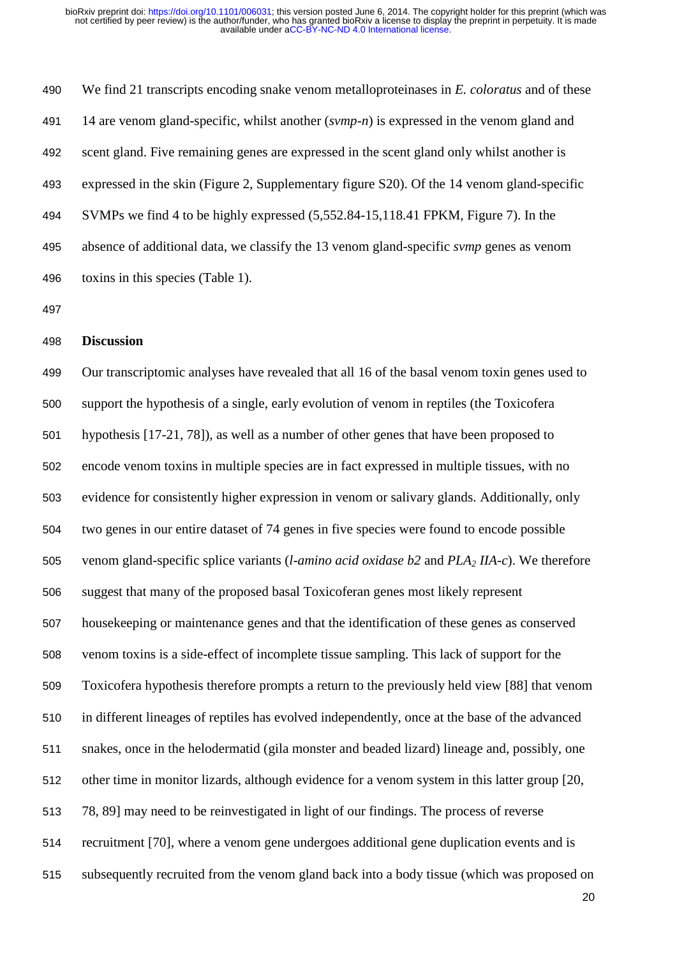We find 21 transcripts encoding snake venom metalloproteinases in *E. coloratus* and of these 14 are venom gland-specific, whilst another (*svmp-n*) is expressed in the venom gland and scent gland. Five remaining genes are expressed in the scent gland only whilst another is expressed in the skin (Figure 2, Supplementary figure S20). Of the 14 venom gland-specific SVMPs we find 4 to be highly expressed (5,552.84-15,118.41 FPKM, Figure 7). In the absence of additional data, we classify the 13 venom gland-specific *svmp* genes as venom toxins in this species (Table 1).

## **Discussion**

 Our transcriptomic analyses have revealed that all 16 of the basal venom toxin genes used to support the hypothesis of a single, early evolution of venom in reptiles (the Toxicofera hypothesis [17-21, 78]), as well as a number of other genes that have been proposed to encode venom toxins in multiple species are in fact expressed in multiple tissues, with no evidence for consistently higher expression in venom or salivary glands. Additionally, only two genes in our entire dataset of 74 genes in five species were found to encode possible venom gland-specific splice variants (*l-amino acid oxidase b2* and *PLA<sup>2</sup> IIA-c*). We therefore suggest that many of the proposed basal Toxicoferan genes most likely represent housekeeping or maintenance genes and that the identification of these genes as conserved venom toxins is a side-effect of incomplete tissue sampling. This lack of support for the Toxicofera hypothesis therefore prompts a return to the previously held view [88] that venom in different lineages of reptiles has evolved independently, once at the base of the advanced snakes, once in the helodermatid (gila monster and beaded lizard) lineage and, possibly, one other time in monitor lizards, although evidence for a venom system in this latter group [20, 78, 89] may need to be reinvestigated in light of our findings. The process of reverse recruitment [70], where a venom gene undergoes additional gene duplication events and is subsequently recruited from the venom gland back into a body tissue (which was proposed on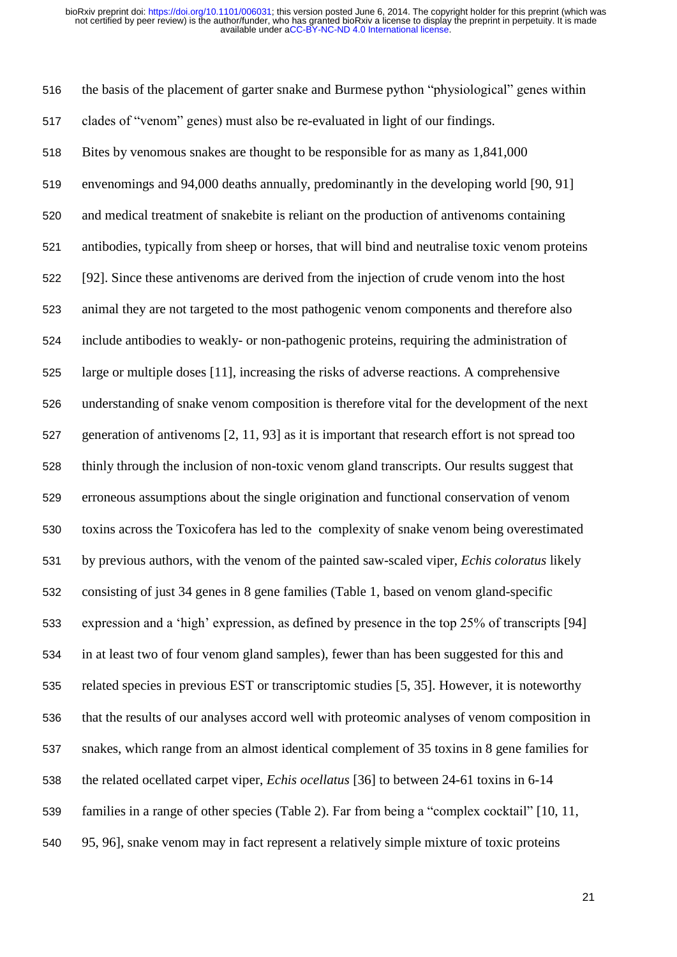the basis of the placement of garter snake and Burmese python "physiological" genes within clades of "venom" genes) must also be re-evaluated in light of our findings.

 Bites by venomous snakes are thought to be responsible for as many as 1,841,000 envenomings and 94,000 deaths annually, predominantly in the developing world [90, 91] and medical treatment of snakebite is reliant on the production of antivenoms containing antibodies, typically from sheep or horses, that will bind and neutralise toxic venom proteins [92]. Since these antivenoms are derived from the injection of crude venom into the host animal they are not targeted to the most pathogenic venom components and therefore also include antibodies to weakly- or non-pathogenic proteins, requiring the administration of large or multiple doses [11], increasing the risks of adverse reactions. A comprehensive understanding of snake venom composition is therefore vital for the development of the next generation of antivenoms [2, 11, 93] as it is important that research effort is not spread too thinly through the inclusion of non-toxic venom gland transcripts. Our results suggest that erroneous assumptions about the single origination and functional conservation of venom toxins across the Toxicofera has led to the complexity of snake venom being overestimated by previous authors, with the venom of the painted saw-scaled viper, *Echis coloratus* likely consisting of just 34 genes in 8 gene families (Table 1, based on venom gland-specific expression and a 'high' expression, as defined by presence in the top 25% of transcripts [94] in at least two of four venom gland samples), fewer than has been suggested for this and related species in previous EST or transcriptomic studies [5, 35]. However, it is noteworthy that the results of our analyses accord well with proteomic analyses of venom composition in snakes, which range from an almost identical complement of 35 toxins in 8 gene families for the related ocellated carpet viper, *Echis ocellatus* [36] to between 24-61 toxins in 6-14 families in a range of other species (Table 2). Far from being a "complex cocktail" [10, 11, 95, 96], snake venom may in fact represent a relatively simple mixture of toxic proteins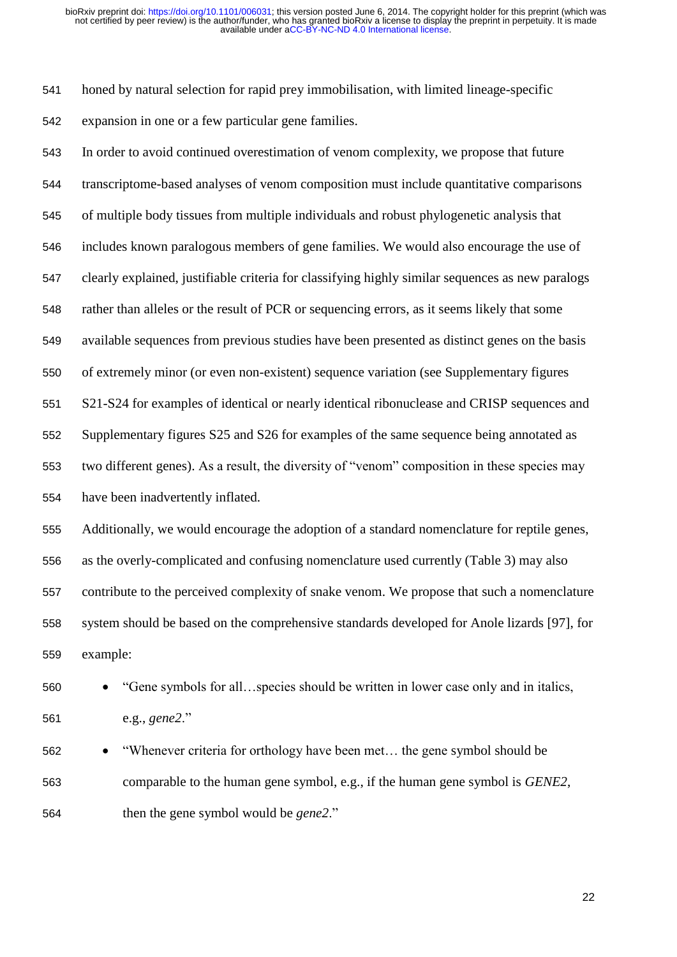honed by natural selection for rapid prey immobilisation, with limited lineage-specific expansion in one or a few particular gene families.

 In order to avoid continued overestimation of venom complexity, we propose that future transcriptome-based analyses of venom composition must include quantitative comparisons of multiple body tissues from multiple individuals and robust phylogenetic analysis that includes known paralogous members of gene families. We would also encourage the use of clearly explained, justifiable criteria for classifying highly similar sequences as new paralogs rather than alleles or the result of PCR or sequencing errors, as it seems likely that some available sequences from previous studies have been presented as distinct genes on the basis of extremely minor (or even non-existent) sequence variation (see Supplementary figures S21-S24 for examples of identical or nearly identical ribonuclease and CRISP sequences and Supplementary figures S25 and S26 for examples of the same sequence being annotated as two different genes). As a result, the diversity of "venom" composition in these species may have been inadvertently inflated. Additionally, we would encourage the adoption of a standard nomenclature for reptile genes, as the overly-complicated and confusing nomenclature used currently (Table 3) may also contribute to the perceived complexity of snake venom. We propose that such a nomenclature system should be based on the comprehensive standards developed for Anole lizards [97], for example:

560 • "Gene symbols for all...species should be written in lower case only and in italics, e.g., *gene2*."

 "Whenever criteria for orthology have been met… the gene symbol should be comparable to the human gene symbol, e.g., if the human gene symbol is *GENE2*, then the gene symbol would be *gene2*."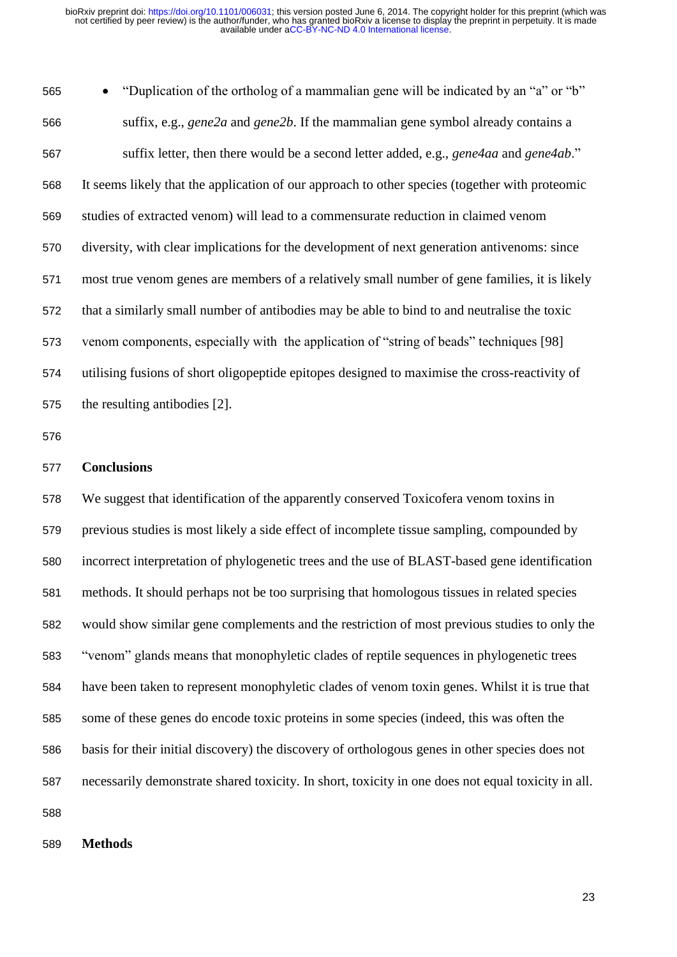"Duplication of the ortholog of a mammalian gene will be indicated by an "a" or "b" suffix, e.g., *gene2a* and *gene2b*. If the mammalian gene symbol already contains a suffix letter, then there would be a second letter added, e.g., *gene4aa* and *gene4ab*." It seems likely that the application of our approach to other species (together with proteomic studies of extracted venom) will lead to a commensurate reduction in claimed venom diversity, with clear implications for the development of next generation antivenoms: since most true venom genes are members of a relatively small number of gene families, it is likely that a similarly small number of antibodies may be able to bind to and neutralise the toxic venom components, especially with the application of "string of beads" techniques [98] utilising fusions of short oligopeptide epitopes designed to maximise the cross-reactivity of the resulting antibodies [2].

# **Conclusions**

 We suggest that identification of the apparently conserved Toxicofera venom toxins in previous studies is most likely a side effect of incomplete tissue sampling, compounded by incorrect interpretation of phylogenetic trees and the use of BLAST-based gene identification methods. It should perhaps not be too surprising that homologous tissues in related species would show similar gene complements and the restriction of most previous studies to only the "venom" glands means that monophyletic clades of reptile sequences in phylogenetic trees have been taken to represent monophyletic clades of venom toxin genes. Whilst it is true that some of these genes do encode toxic proteins in some species (indeed, this was often the basis for their initial discovery) the discovery of orthologous genes in other species does not necessarily demonstrate shared toxicity. In short, toxicity in one does not equal toxicity in all. 

**Methods**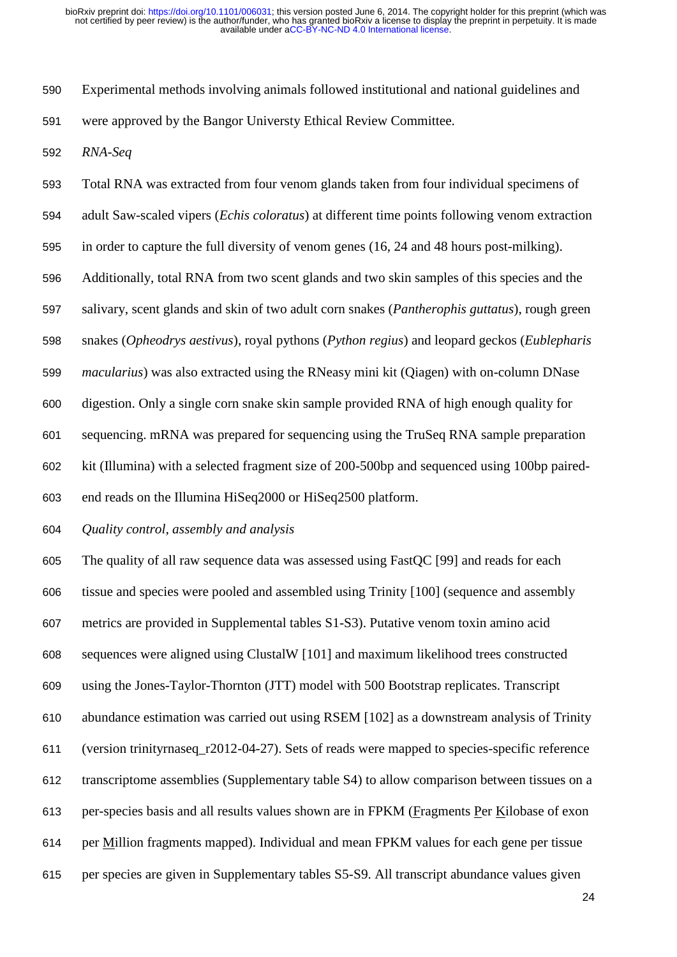Experimental methods involving animals followed institutional and national guidelines and were approved by the Bangor Universty Ethical Review Committee.

*RNA-Seq*

Total RNA was extracted from four venom glands taken from four individual specimens of

adult Saw-scaled vipers (*Echis coloratus*) at different time points following venom extraction

in order to capture the full diversity of venom genes (16, 24 and 48 hours post-milking).

Additionally, total RNA from two scent glands and two skin samples of this species and the

salivary, scent glands and skin of two adult corn snakes (*Pantherophis guttatus*), rough green

snakes (*Opheodrys aestivus*), royal pythons (*Python regius*) and leopard geckos (*Eublepharis* 

*macularius*) was also extracted using the RNeasy mini kit (Qiagen) with on-column DNase

digestion. Only a single corn snake skin sample provided RNA of high enough quality for

sequencing. mRNA was prepared for sequencing using the TruSeq RNA sample preparation

kit (Illumina) with a selected fragment size of 200-500bp and sequenced using 100bp paired-

end reads on the Illumina HiSeq2000 or HiSeq2500 platform.

# *Quality control, assembly and analysis*

 The quality of all raw sequence data was assessed using FastQC [99] and reads for each tissue and species were pooled and assembled using Trinity [100] (sequence and assembly metrics are provided in Supplemental tables S1-S3). Putative venom toxin amino acid sequences were aligned using ClustalW [101] and maximum likelihood trees constructed using the Jones-Taylor-Thornton (JTT) model with 500 Bootstrap replicates. Transcript abundance estimation was carried out using RSEM [102] as a downstream analysis of Trinity (version trinityrnaseq\_r2012-04-27). Sets of reads were mapped to species-specific reference transcriptome assemblies (Supplementary table S4) to allow comparison between tissues on a per-species basis and all results values shown are in FPKM (Fragments Per Kilobase of exon per Million fragments mapped). Individual and mean FPKM values for each gene per tissue per species are given in Supplementary tables S5-S9. All transcript abundance values given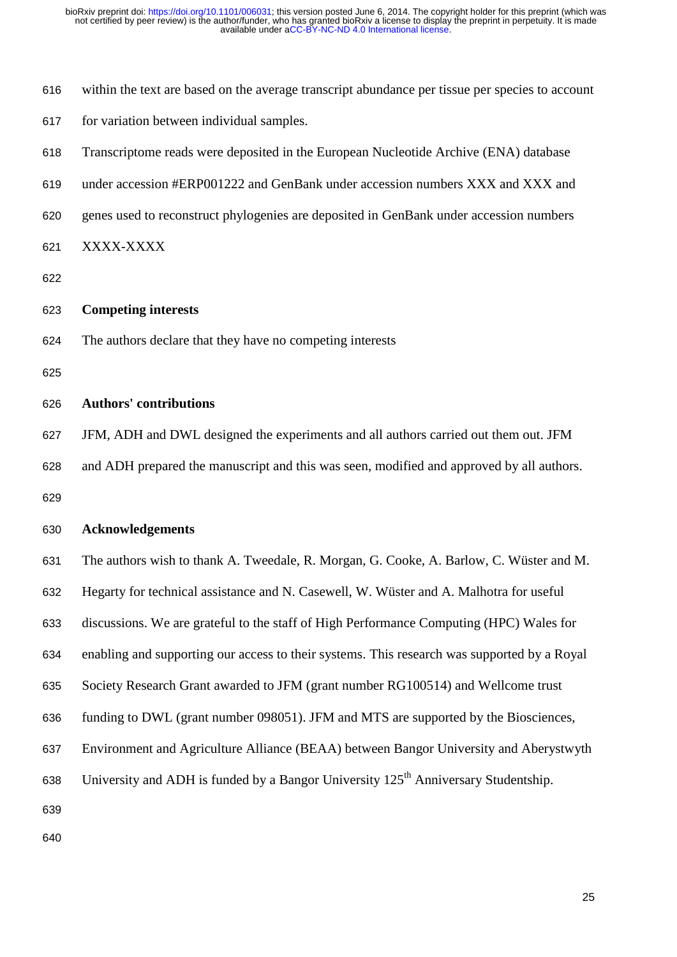- within the text are based on the average transcript abundance per tissue per species to account
- for variation between individual samples.
- Transcriptome reads were deposited in the European Nucleotide Archive (ENA) database
- under accession #ERP001222 and GenBank under accession numbers XXX and XXX and
- genes used to reconstruct phylogenies are deposited in GenBank under accession numbers
- XXXX-XXXX
- 
- **Competing interests**
- The authors declare that they have no competing interests
- 
- **Authors' contributions**
- JFM, ADH and DWL designed the experiments and all authors carried out them out. JFM and ADH prepared the manuscript and this was seen, modified and approved by all authors.
- 

# **Acknowledgements**

 The authors wish to thank A. Tweedale, R. Morgan, G. Cooke, A. Barlow, C. Wüster and M. Hegarty for technical assistance and N. Casewell, W. Wüster and A. Malhotra for useful discussions. We are grateful to the staff of High Performance Computing (HPC) Wales for enabling and supporting our access to their systems. This research was supported by a Royal Society Research Grant awarded to JFM (grant number RG100514) and Wellcome trust funding to DWL (grant number 098051). JFM and MTS are supported by the Biosciences, Environment and Agriculture Alliance (BEAA) between Bangor University and Aberystwyth 638 University and ADH is funded by a Bangor University  $125<sup>th</sup>$  Anniversary Studentship.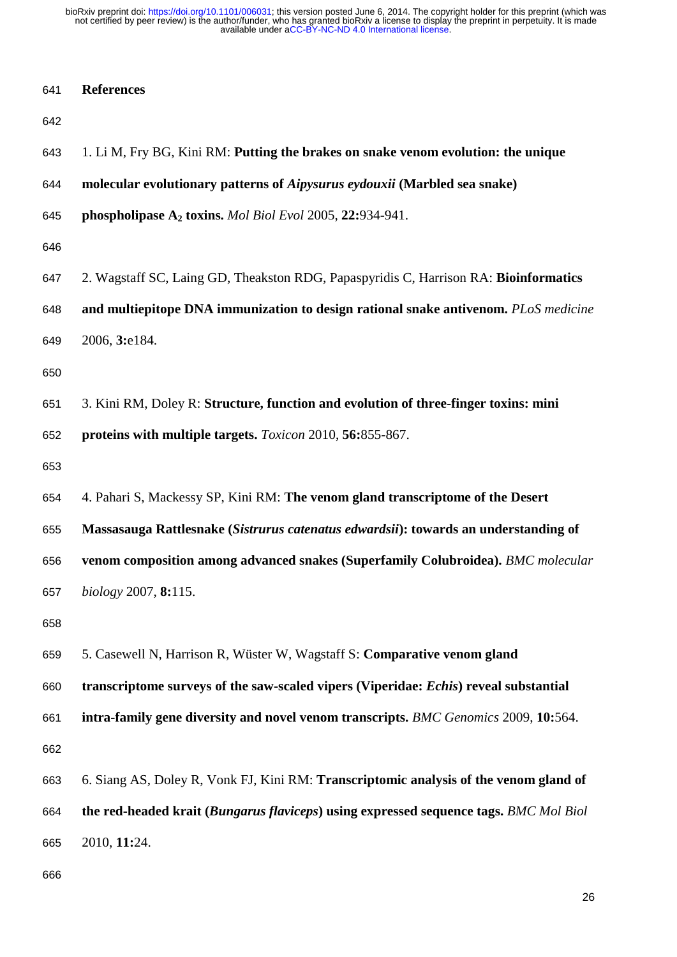| 641 | <b>References</b> |
|-----|-------------------|
|-----|-------------------|

| 643 | 1. Li M, Fry BG, Kini RM: Putting the brakes on snake venom evolution: the unique     |
|-----|---------------------------------------------------------------------------------------|
| 644 | molecular evolutionary patterns of Aipysurus eydouxii (Marbled sea snake)             |
| 645 | phospholipase $A_2$ toxins. <i>Mol Biol Evol</i> 2005, 22:934-941.                    |
| 646 |                                                                                       |
| 647 | 2. Wagstaff SC, Laing GD, Theakston RDG, Papaspyridis C, Harrison RA: Bioinformatics  |
| 648 | and multiepitope DNA immunization to design rational snake antivenom. PLoS medicine   |
| 649 | 2006, 3:e184.                                                                         |
| 650 |                                                                                       |
| 651 | 3. Kini RM, Doley R: Structure, function and evolution of three-finger toxins: mini   |
| 652 | proteins with multiple targets. Toxicon 2010, 56:855-867.                             |
| 653 |                                                                                       |
| 654 | 4. Pahari S, Mackessy SP, Kini RM: The venom gland transcriptome of the Desert        |
| 655 | Massasauga Rattlesnake (Sistrurus catenatus edwardsii): towards an understanding of   |
| 656 | venom composition among advanced snakes (Superfamily Colubroidea). BMC molecular      |
| 657 | $biology\ 2007, 8:115.$                                                               |
| 658 |                                                                                       |
| 659 | 5. Casewell N, Harrison R, Wüster W, Wagstaff S: Comparative venom gland              |
| 660 | transcriptome surveys of the saw-scaled vipers (Viperidae: Echis) reveal substantial  |
| 661 | intra-family gene diversity and novel venom transcripts. BMC Genomics 2009, 10:564.   |
| 662 |                                                                                       |
| 663 | 6. Siang AS, Doley R, Vonk FJ, Kini RM: Transcriptomic analysis of the venom gland of |
| 664 | the red-headed krait (Bungarus flaviceps) using expressed sequence tags. BMC Mol Biol |
| 665 | 2010, 11:24.                                                                          |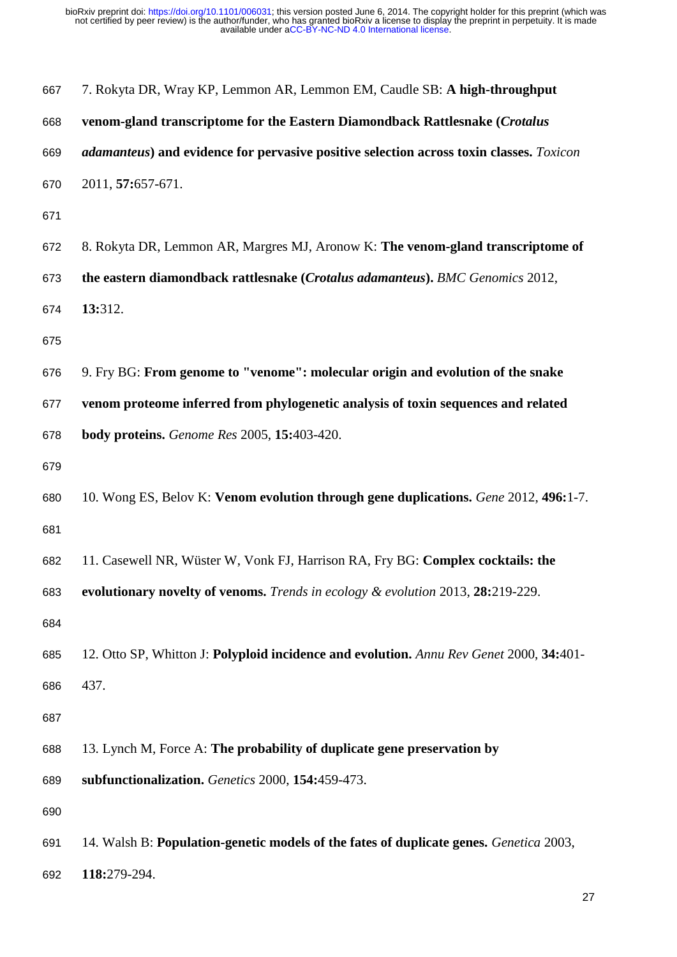| 667 | 7. Rokyta DR, Wray KP, Lemmon AR, Lemmon EM, Caudle SB: A high-throughput               |
|-----|-----------------------------------------------------------------------------------------|
| 668 | venom-gland transcriptome for the Eastern Diamondback Rattlesnake (Crotalus             |
| 669 | adamanteus) and evidence for pervasive positive selection across toxin classes. Toxicon |
| 670 | 2011, 57:657-671.                                                                       |
| 671 |                                                                                         |
| 672 | 8. Rokyta DR, Lemmon AR, Margres MJ, Aronow K: The venom-gland transcriptome of         |
| 673 | the eastern diamondback rattlesnake (Crotalus adamanteus). BMC Genomics 2012,           |
| 674 | 13:312.                                                                                 |
| 675 |                                                                                         |
| 676 | 9. Fry BG: From genome to "venome": molecular origin and evolution of the snake         |
| 677 | venom proteome inferred from phylogenetic analysis of toxin sequences and related       |
| 678 | <b>body proteins.</b> Genome Res 2005, 15:403-420.                                      |
| 679 |                                                                                         |
| 680 | 10. Wong ES, Belov K: Venom evolution through gene duplications. Gene 2012, 496:1-7.    |
| 681 |                                                                                         |
| 682 | 11. Casewell NR, Wüster W, Vonk FJ, Harrison RA, Fry BG: Complex cocktails: the         |
| 683 | evolutionary novelty of venoms. Trends in ecology & evolution 2013, 28:219-229.         |
| 684 |                                                                                         |
| 685 | 12. Otto SP, Whitton J: Polyploid incidence and evolution. Annu Rev Genet 2000, 34:401- |
| 686 | 437.                                                                                    |
| 687 |                                                                                         |
| 688 | 13. Lynch M, Force A: The probability of duplicate gene preservation by                 |
| 689 | subfunctionalization. Genetics 2000, 154:459-473.                                       |
| 690 |                                                                                         |
| 691 | 14. Walsh B: Population-genetic models of the fates of duplicate genes. Genetica 2003,  |
| 692 | 118:279-294.                                                                            |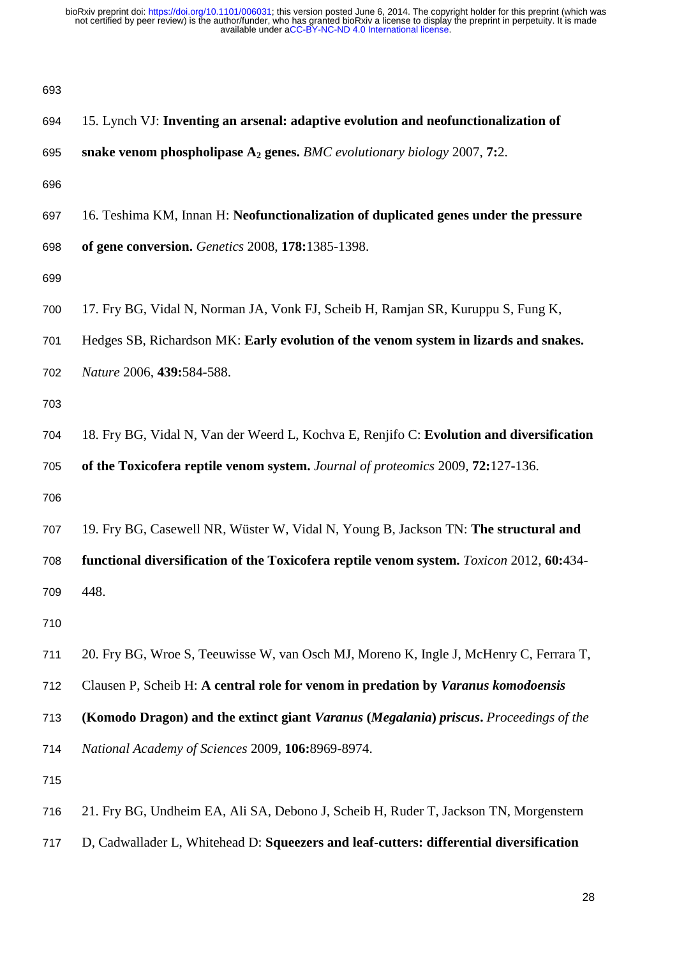| 693 |                                                                                          |
|-----|------------------------------------------------------------------------------------------|
| 694 | 15. Lynch VJ: Inventing an arsenal: adaptive evolution and neofunctionalization of       |
| 695 | snake venom phospholipase $A_2$ genes. BMC evolutionary biology 2007, 7:2.               |
| 696 |                                                                                          |
| 697 | 16. Teshima KM, Innan H: Neofunctionalization of duplicated genes under the pressure     |
| 698 | of gene conversion. Genetics 2008, 178:1385-1398.                                        |
| 699 |                                                                                          |
| 700 | 17. Fry BG, Vidal N, Norman JA, Vonk FJ, Scheib H, Ramjan SR, Kuruppu S, Fung K,         |
| 701 | Hedges SB, Richardson MK: Early evolution of the venom system in lizards and snakes.     |
| 702 | Nature 2006, 439:584-588.                                                                |
| 703 |                                                                                          |
| 704 | 18. Fry BG, Vidal N, Van der Weerd L, Kochva E, Renjifo C: Evolution and diversification |
| 705 | of the Toxicofera reptile venom system. Journal of proteomics 2009, 72:127-136.          |
| 706 |                                                                                          |
| 707 | 19. Fry BG, Casewell NR, Wüster W, Vidal N, Young B, Jackson TN: The structural and      |
| 708 | functional diversification of the Toxicofera reptile venom system. Toxicon 2012, 60:434- |
| 709 | 448.                                                                                     |
| 710 |                                                                                          |
| 711 | 20. Fry BG, Wroe S, Teeuwisse W, van Osch MJ, Moreno K, Ingle J, McHenry C, Ferrara T,   |
| 712 | Clausen P, Scheib H: A central role for venom in predation by Varanus komodoensis        |
| 713 | (Komodo Dragon) and the extinct giant Varanus (Megalania) priscus. Proceedings of the    |
| 714 | National Academy of Sciences 2009, 106:8969-8974.                                        |
| 715 |                                                                                          |
| 716 | 21. Fry BG, Undheim EA, Ali SA, Debono J, Scheib H, Ruder T, Jackson TN, Morgenstern     |
|     |                                                                                          |

D, Cadwallader L, Whitehead D: **Squeezers and leaf-cutters: differential diversification**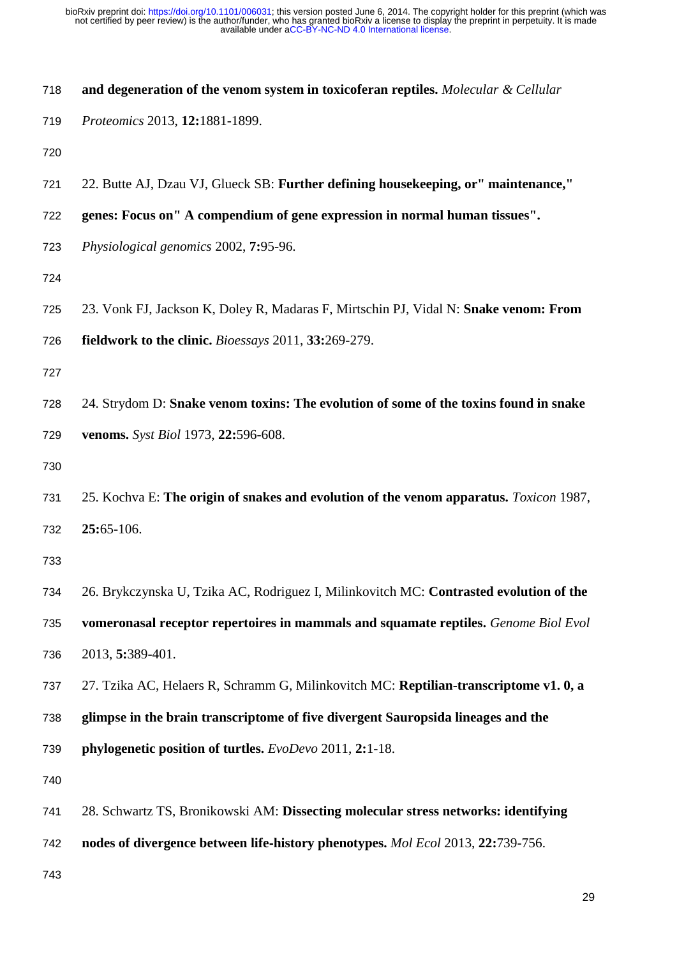| 718 | and degeneration of the venom system in toxicoferan reptiles. Molecular & Cellular     |
|-----|----------------------------------------------------------------------------------------|
| 719 | Proteomics 2013, 12:1881-1899.                                                         |
| 720 |                                                                                        |
| 721 | 22. Butte AJ, Dzau VJ, Glueck SB: Further defining housekeeping, or" maintenance,"     |
| 722 | genes: Focus on" A compendium of gene expression in normal human tissues".             |
| 723 | Physiological genomics 2002, 7:95-96.                                                  |
| 724 |                                                                                        |
| 725 | 23. Vonk FJ, Jackson K, Doley R, Madaras F, Mirtschin PJ, Vidal N: Snake venom: From   |
| 726 | fieldwork to the clinic. Bioessays 2011, 33:269-279.                                   |
| 727 |                                                                                        |
| 728 | 24. Strydom D: Snake venom toxins: The evolution of some of the toxins found in snake  |
| 729 | venoms. Syst Biol 1973, 22:596-608.                                                    |
| 730 |                                                                                        |
| 731 | 25. Kochva E: The origin of snakes and evolution of the venom apparatus. Toxicon 1987, |
| 732 | 25:65-106.                                                                             |
| 733 |                                                                                        |
| 734 | 26. Brykczynska U, Tzika AC, Rodriguez I, Milinkovitch MC: Contrasted evolution of the |
| 735 | vomeronasal receptor repertoires in mammals and squamate reptiles. Genome Biol Evol    |
| 736 | 2013, 5:389-401.                                                                       |
| 737 | 27. Tzika AC, Helaers R, Schramm G, Milinkovitch MC: Reptilian-transcriptome v1. 0, a  |
| 738 | glimpse in the brain transcriptome of five divergent Sauropsida lineages and the       |
| 739 | phylogenetic position of turtles. EvoDevo 2011, 2:1-18.                                |
| 740 |                                                                                        |
| 741 | 28. Schwartz TS, Bronikowski AM: Dissecting molecular stress networks: identifying     |
| 742 | nodes of divergence between life-history phenotypes. Mol Ecol 2013, 22:739-756.        |
| 743 |                                                                                        |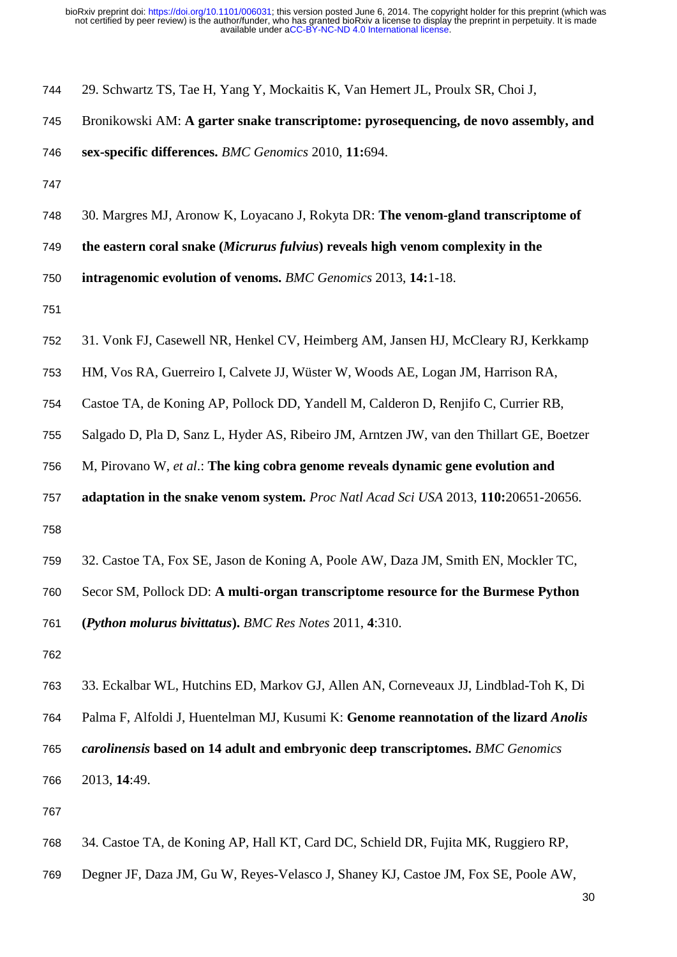- 29. Schwartz TS, Tae H, Yang Y, Mockaitis K, Van Hemert JL, Proulx SR, Choi J,
- Bronikowski AM: **A garter snake transcriptome: pyrosequencing, de novo assembly, and**

- 
- 30. Margres MJ, Aronow K, Loyacano J, Rokyta DR: **The venom-gland transcriptome of**
- **the eastern coral snake (***Micrurus fulvius***) reveals high venom complexity in the**
- **intragenomic evolution of venoms.** *BMC Genomics* 2013, **14:**1-18.

- 31. Vonk FJ, Casewell NR, Henkel CV, Heimberg AM, Jansen HJ, McCleary RJ, Kerkkamp
- HM, Vos RA, Guerreiro I, Calvete JJ, Wüster W, Woods AE, Logan JM, Harrison RA,
- Castoe TA, de Koning AP, Pollock DD, Yandell M, Calderon D, Renjifo C, Currier RB,
- Salgado D, Pla D, Sanz L, Hyder AS, Ribeiro JM, Arntzen JW, van den Thillart GE, Boetzer
- M, Pirovano W, *et al*.: **The king cobra genome reveals dynamic gene evolution and**
- **adaptation in the snake venom system.** *Proc Natl Acad Sci USA* 2013, **110:**20651-20656.
- 
- 32. Castoe TA, Fox SE, Jason de Koning A, Poole AW, Daza JM, Smith EN, Mockler TC,
- Secor SM, Pollock DD: **A multi-organ transcriptome resource for the Burmese Python**

**(***Python molurus bivittatus***).** *BMC Res Notes* 2011, **4**:310.

- 
- 33. Eckalbar WL, Hutchins ED, Markov GJ, Allen AN, Corneveaux JJ, Lindblad-Toh K, Di Palma F, Alfoldi J, Huentelman MJ, Kusumi K: **Genome reannotation of the lizard** *Anolis carolinensis* **based on 14 adult and embryonic deep transcriptomes.** *BMC Genomics* 2013, **14**:49.
- 
- 34. Castoe TA, de Koning AP, Hall KT, Card DC, Schield DR, Fujita MK, Ruggiero RP,
- Degner JF, Daza JM, Gu W, Reyes-Velasco J, Shaney KJ, Castoe JM, Fox SE, Poole AW,

**sex-specific differences.** *BMC Genomics* 2010, **11:**694.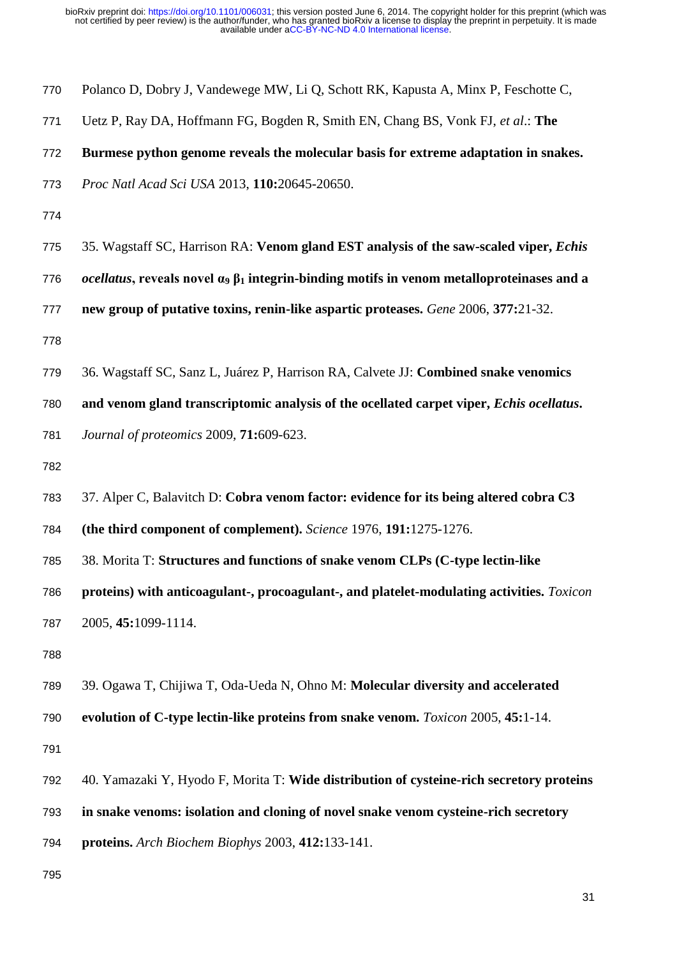| 770 | Polanco D, Dobry J, Vandewege MW, Li Q, Schott RK, Kapusta A, Minx P, Feschotte C,                            |
|-----|---------------------------------------------------------------------------------------------------------------|
| 771 | Uetz P, Ray DA, Hoffmann FG, Bogden R, Smith EN, Chang BS, Vonk FJ, et al.: The                               |
| 772 | Burmese python genome reveals the molecular basis for extreme adaptation in snakes.                           |
| 773 | Proc Natl Acad Sci USA 2013, 110:20645-20650.                                                                 |
| 774 |                                                                                                               |
| 775 | 35. Wagstaff SC, Harrison RA: Venom gland EST analysis of the saw-scaled viper, Echis                         |
| 776 | <i>ocellatus</i> , reveals novel $\alpha_9 \beta_1$ integrin-binding motifs in venom metalloproteinases and a |
| 777 | new group of putative toxins, renin-like aspartic proteases. Gene 2006, 377:21-32.                            |
| 778 |                                                                                                               |
| 779 | 36. Wagstaff SC, Sanz L, Juárez P, Harrison RA, Calvete JJ: Combined snake venomics                           |
| 780 | and venom gland transcriptomic analysis of the ocellated carpet viper, Echis ocellatus.                       |
| 781 | Journal of proteomics 2009, 71:609-623.                                                                       |
| 782 |                                                                                                               |
| 783 | 37. Alper C, Balavitch D: Cobra venom factor: evidence for its being altered cobra C3                         |
| 784 | (the third component of complement). Science 1976, 191:1275-1276.                                             |
| 785 | 38. Morita T: Structures and functions of snake venom CLPs (C-type lectin-like                                |
| 786 | proteins) with anticoagulant-, procoagulant-, and platelet-modulating activities. Toxicon                     |
| 787 | 2005, 45:1099-1114.                                                                                           |
| 788 |                                                                                                               |
| 789 | 39. Ogawa T, Chijiwa T, Oda-Ueda N, Ohno M: Molecular diversity and accelerated                               |
| 790 | evolution of C-type lectin-like proteins from snake venom. <i>Toxicon</i> 2005, 45:1-14.                      |
| 791 |                                                                                                               |
| 792 | 40. Yamazaki Y, Hyodo F, Morita T: Wide distribution of cysteine-rich secretory proteins                      |
| 793 | in snake venoms: isolation and cloning of novel snake venom cysteine-rich secretory                           |
| 794 | proteins. Arch Biochem Biophys 2003, 412:133-141.                                                             |
| 795 |                                                                                                               |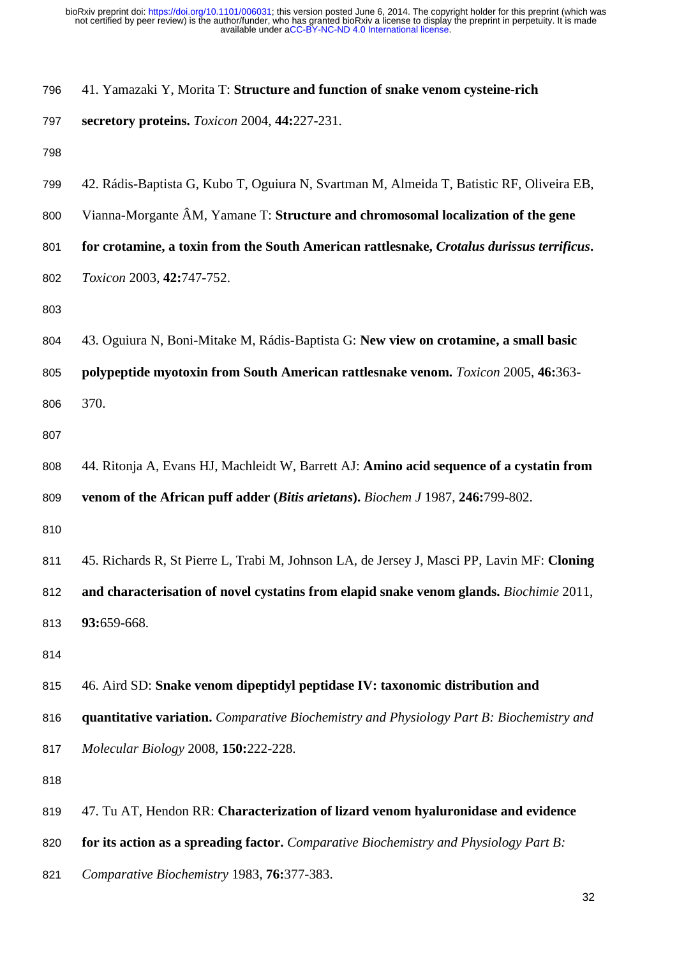| 796 | 41. Yamazaki Y, Morita T: Structure and function of snake venom cysteine-rich              |
|-----|--------------------------------------------------------------------------------------------|
| 797 | secretory proteins. Toxicon 2004, 44:227-231.                                              |
| 798 |                                                                                            |
| 799 | 42. Rádis-Baptista G, Kubo T, Oguiura N, Svartman M, Almeida T, Batistic RF, Oliveira EB,  |
| 800 | Vianna-Morgante ÂM, Yamane T: Structure and chromosomal localization of the gene           |
| 801 | for crotamine, a toxin from the South American rattlesnake, Crotalus durissus terrificus.  |
| 802 | Toxicon 2003, 42:747-752.                                                                  |
| 803 |                                                                                            |
| 804 | 43. Oguiura N, Boni-Mitake M, Rádis-Baptista G: New view on crotamine, a small basic       |
| 805 | polypeptide myotoxin from South American rattlesnake venom. Toxicon 2005, 46:363-          |
| 806 | 370.                                                                                       |
| 807 |                                                                                            |
| 808 | 44. Ritonja A, Evans HJ, Machleidt W, Barrett AJ: Amino acid sequence of a cystatin from   |
| 809 | venom of the African puff adder (Bitis arietans). Biochem J 1987, 246:799-802.             |
| 810 |                                                                                            |
| 811 | 45. Richards R, St Pierre L, Trabi M, Johnson LA, de Jersey J, Masci PP, Lavin MF: Cloning |
| 812 | and characterisation of novel cystatins from elapid snake venom glands. Biochimie 2011,    |
| 813 | 93:659-668.                                                                                |
| 814 |                                                                                            |
| 815 | 46. Aird SD: Snake venom dipeptidyl peptidase IV: taxonomic distribution and               |
| 816 | quantitative variation. Comparative Biochemistry and Physiology Part B: Biochemistry and   |
| 817 | Molecular Biology 2008, 150:222-228.                                                       |
| 818 |                                                                                            |
| 819 | 47. Tu AT, Hendon RR: Characterization of lizard venom hyaluronidase and evidence          |
| 820 | for its action as a spreading factor. Comparative Biochemistry and Physiology Part B:      |

*Comparative Biochemistry* 1983, **76:**377-383.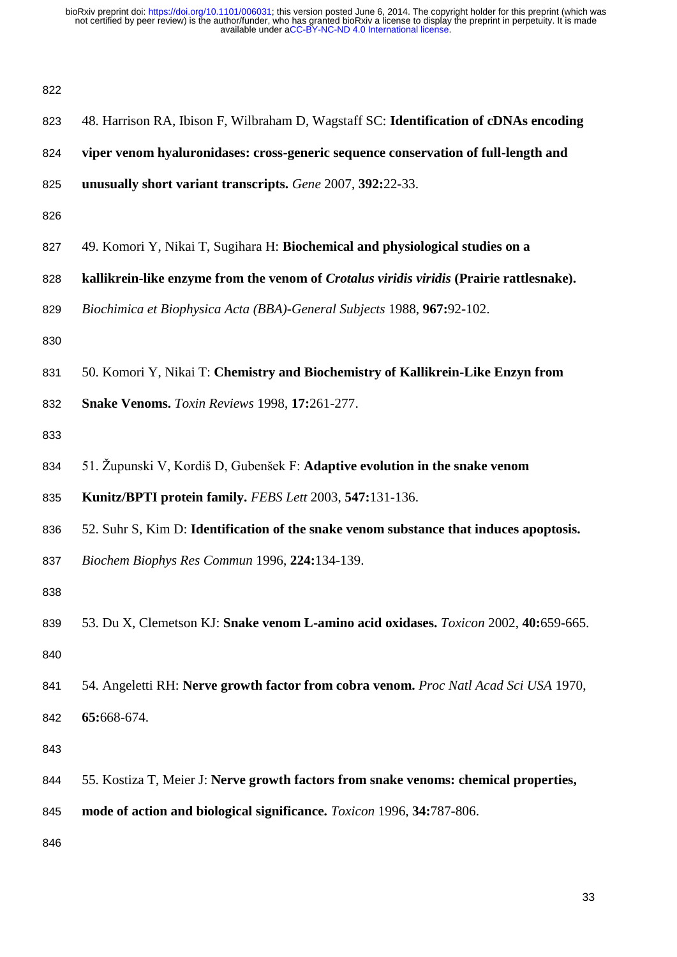| ۰, |  |
|----|--|

| ᅆ   |                                                                                          |
|-----|------------------------------------------------------------------------------------------|
| 823 | 48. Harrison RA, Ibison F, Wilbraham D, Wagstaff SC: Identification of cDNAs encoding    |
| 824 | viper venom hyaluronidases: cross-generic sequence conservation of full-length and       |
| 825 | unusually short variant transcripts. Gene 2007, 392:22-33.                               |
| 826 |                                                                                          |
| 827 | 49. Komori Y, Nikai T, Sugihara H: Biochemical and physiological studies on a            |
| 828 | kallikrein-like enzyme from the venom of Crotalus viridis viridis (Prairie rattlesnake). |
| 829 | Biochimica et Biophysica Acta (BBA)-General Subjects 1988, 967:92-102.                   |
| 830 |                                                                                          |
| 831 | 50. Komori Y, Nikai T: Chemistry and Biochemistry of Kallikrein-Like Enzyn from          |
| 832 | Snake Venoms. Toxin Reviews 1998, 17:261-277.                                            |
| 833 |                                                                                          |
| 834 | 51. Župunski V, Kordiš D, Gubenšek F: Adaptive evolution in the snake venom              |
| 835 | Kunitz/BPTI protein family. FEBS Lett 2003, 547:131-136.                                 |
| 836 | 52. Suhr S, Kim D: Identification of the snake venom substance that induces apoptosis.   |
| 837 | Biochem Biophys Res Commun 1996, 224:134-139.                                            |
| 838 |                                                                                          |
| 839 | 53. Du X, Clemetson KJ: Snake venom L-amino acid oxidases. Toxicon 2002, 40:659-665.     |
| 840 |                                                                                          |
| 841 | 54. Angeletti RH: Nerve growth factor from cobra venom. Proc Natl Acad Sci USA 1970,     |
| 842 | 65:668-674.                                                                              |
| 843 |                                                                                          |
| 844 | 55. Kostiza T, Meier J: Nerve growth factors from snake venoms: chemical properties,     |
| 845 | mode of action and biological significance. Toxicon 1996, 34:787-806.                    |
| 846 |                                                                                          |
|     |                                                                                          |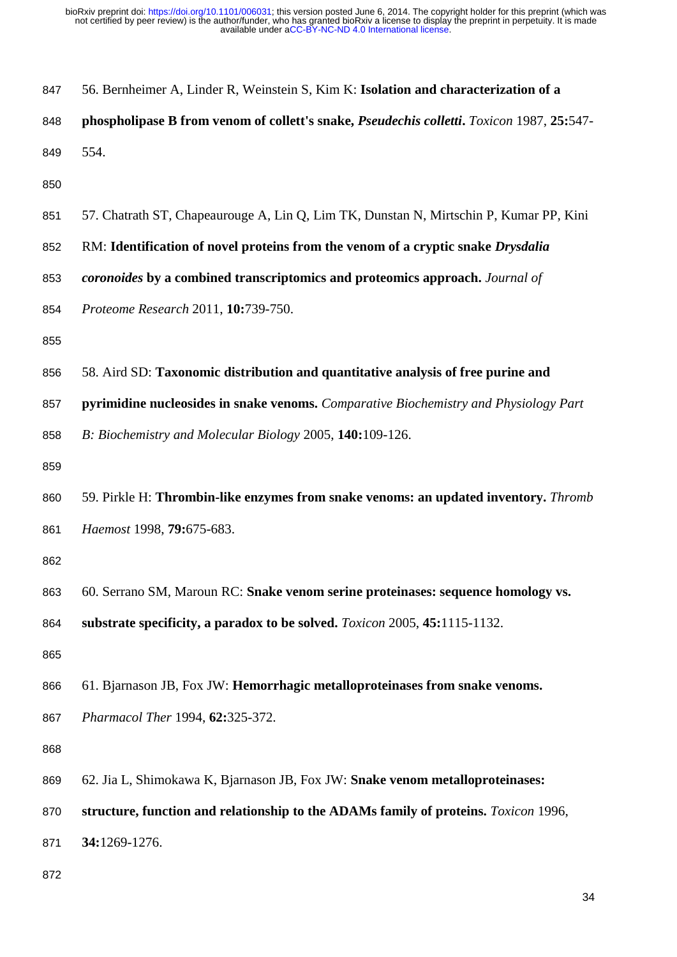| 847 | 56. Bernheimer A, Linder R, Weinstein S, Kim K: Isolation and characterization of a        |
|-----|--------------------------------------------------------------------------------------------|
| 848 | phospholipase B from venom of collett's snake, Pseudechis colletti. Toxicon 1987, 25:547-  |
| 849 | 554.                                                                                       |
| 850 |                                                                                            |
| 851 | 57. Chatrath ST, Chapeaurouge A, Lin Q, Lim TK, Dunstan N, Mirtschin P, Kumar PP, Kini     |
| 852 | RM: Identification of novel proteins from the venom of a cryptic snake Drysdalia           |
| 853 | coronoides by a combined transcriptomics and proteomics approach. Journal of               |
| 854 | Proteome Research 2011, 10:739-750.                                                        |
| 855 |                                                                                            |
| 856 | 58. Aird SD: Taxonomic distribution and quantitative analysis of free purine and           |
| 857 | pyrimidine nucleosides in snake venoms. Comparative Biochemistry and Physiology Part       |
| 858 | B: Biochemistry and Molecular Biology 2005, 140:109-126.                                   |
| 859 |                                                                                            |
| 860 | 59. Pirkle H: Thrombin-like enzymes from snake venoms: an updated inventory. Thromb        |
| 861 | Haemost 1998, 79:675-683.                                                                  |
| 862 |                                                                                            |
| 863 | 60. Serrano SM, Maroun RC: Snake venom serine proteinases: sequence homology vs.           |
| 864 | substrate specificity, a paradox to be solved. <i>Toxicon</i> 2005, 45:1115-1132.          |
| 865 |                                                                                            |
| 866 | 61. Bjarnason JB, Fox JW: Hemorrhagic metalloproteinases from snake venoms.                |
| 867 | Pharmacol Ther 1994, 62:325-372.                                                           |
| 868 |                                                                                            |
| 869 | 62. Jia L, Shimokawa K, Bjarnason JB, Fox JW: Snake venom metalloproteinases:              |
| 870 | structure, function and relationship to the ADAMs family of proteins. <i>Toxicon</i> 1996, |
| 871 | 34:1269-1276.                                                                              |
| 872 |                                                                                            |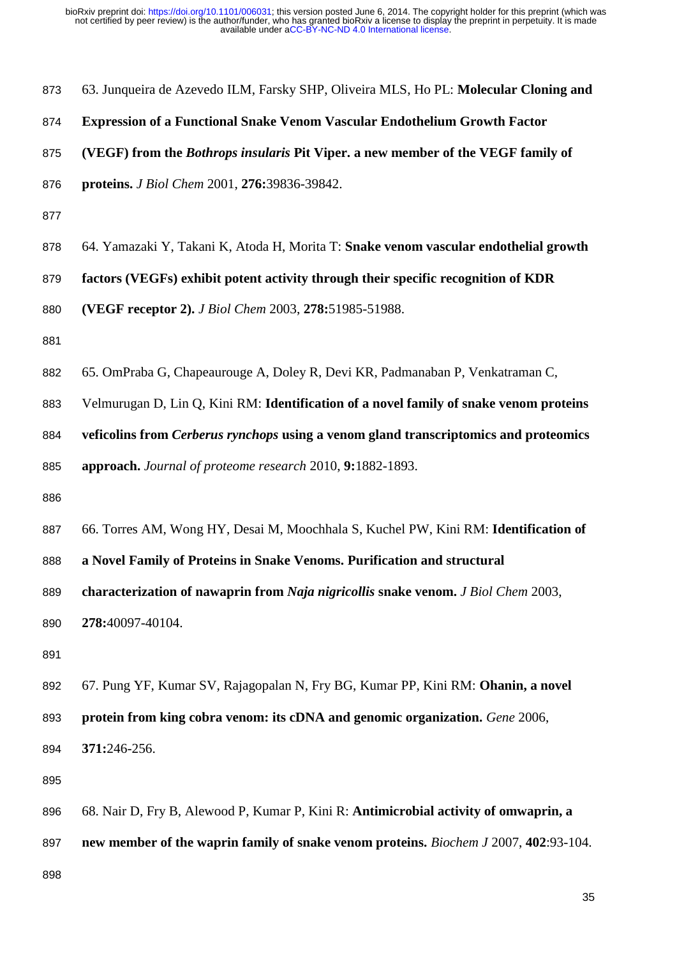| 873 | 63. Junqueira de Azevedo ILM, Farsky SHP, Oliveira MLS, Ho PL: Molecular Cloning and        |
|-----|---------------------------------------------------------------------------------------------|
| 874 | <b>Expression of a Functional Snake Venom Vascular Endothelium Growth Factor</b>            |
| 875 | (VEGF) from the Bothrops insularis Pit Viper. a new member of the VEGF family of            |
| 876 | proteins. J Biol Chem 2001, 276:39836-39842.                                                |
| 877 |                                                                                             |
| 878 | 64. Yamazaki Y, Takani K, Atoda H, Morita T: Snake venom vascular endothelial growth        |
| 879 | factors (VEGFs) exhibit potent activity through their specific recognition of KDR           |
| 880 | (VEGF receptor 2). J Biol Chem 2003, 278:51985-51988.                                       |
| 881 |                                                                                             |
| 882 | 65. OmPraba G, Chapeaurouge A, Doley R, Devi KR, Padmanaban P, Venkatraman C,               |
| 883 | Velmurugan D, Lin Q, Kini RM: Identification of a novel family of snake venom proteins      |
| 884 | veficolins from Cerberus rynchops using a venom gland transcriptomics and proteomics        |
| 885 | approach. Journal of proteome research 2010, 9:1882-1893.                                   |
| 886 |                                                                                             |
| 887 | 66. Torres AM, Wong HY, Desai M, Moochhala S, Kuchel PW, Kini RM: Identification of         |
| 888 | a Novel Family of Proteins in Snake Venoms. Purification and structural                     |
| 889 | characterization of nawaprin from Naja nigricollis snake venom. J Biol Chem 2003.           |
| 890 | 278:40097-40104.                                                                            |
| 891 |                                                                                             |
| 892 | 67. Pung YF, Kumar SV, Rajagopalan N, Fry BG, Kumar PP, Kini RM: Ohanin, a novel            |
| 893 | protein from king cobra venom: its cDNA and genomic organization. Gene 2006,                |
| 894 | 371:246-256.                                                                                |
| 895 |                                                                                             |
| 896 | 68. Nair D, Fry B, Alewood P, Kumar P, Kini R: Antimicrobial activity of omwaprin, a        |
| 897 | new member of the waprin family of snake venom proteins. <i>Biochem J</i> 2007, 402:93-104. |
| 898 |                                                                                             |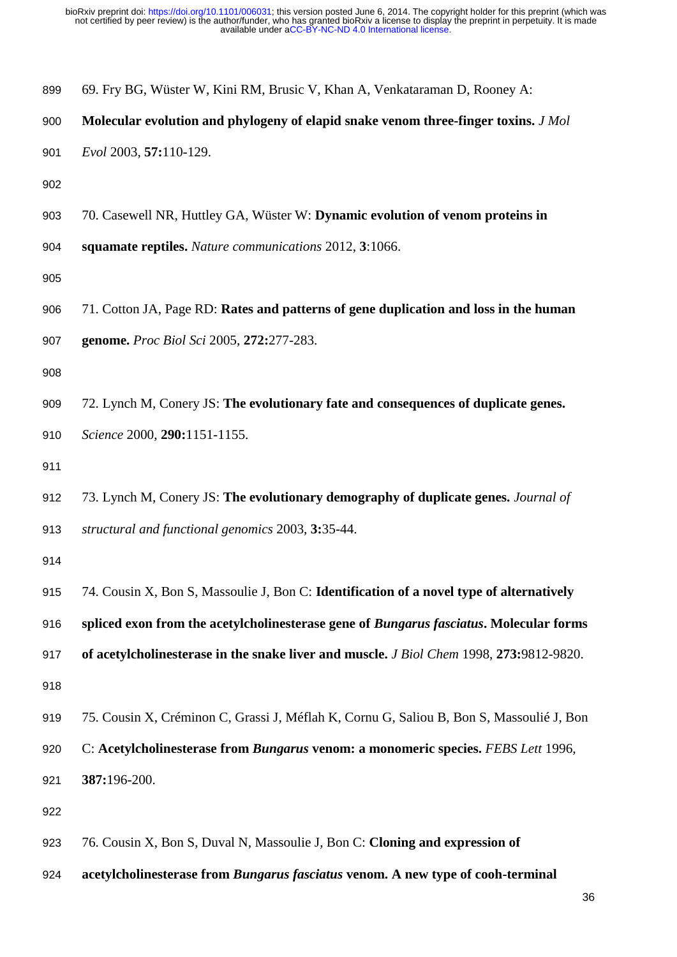| 899 | 69. Fry BG, Wüster W, Kini RM, Brusic V, Khan A, Venkataraman D, Rooney A:               |
|-----|------------------------------------------------------------------------------------------|
| 900 | Molecular evolution and phylogeny of elapid snake venom three-finger toxins. J Mol       |
| 901 | Evol 2003, 57:110-129.                                                                   |
| 902 |                                                                                          |
| 903 | 70. Casewell NR, Huttley GA, Wüster W: Dynamic evolution of venom proteins in            |
| 904 | squamate reptiles. Nature communications 2012, 3:1066.                                   |
| 905 |                                                                                          |
| 906 | 71. Cotton JA, Page RD: Rates and patterns of gene duplication and loss in the human     |
| 907 | genome. Proc Biol Sci 2005, 272:277-283.                                                 |
| 908 |                                                                                          |
| 909 | 72. Lynch M, Conery JS: The evolutionary fate and consequences of duplicate genes.       |
| 910 | Science 2000, 290:1151-1155.                                                             |
| 911 |                                                                                          |
| 912 | 73. Lynch M, Conery JS: The evolutionary demography of duplicate genes. Journal of       |
| 913 | structural and functional genomics 2003, 3:35-44.                                        |
| 914 |                                                                                          |
| 915 | 74. Cousin X, Bon S, Massoulie J, Bon C: Identification of a novel type of alternatively |
| 916 | spliced exon from the acetylcholinesterase gene of Bungarus fasciatus. Molecular forms   |
| 917 | of acetylcholinesterase in the snake liver and muscle. J Biol Chem 1998, 273:9812-9820.  |
| 918 |                                                                                          |
| 919 | 75. Cousin X, Créminon C, Grassi J, Méflah K, Cornu G, Saliou B, Bon S, Massoulié J, Bon |
| 920 | C: Acetylcholinesterase from Bungarus venom: a monomeric species. FEBS Lett 1996,        |
| 921 | 387:196-200.                                                                             |
| 922 |                                                                                          |
| 923 | 76. Cousin X, Bon S, Duval N, Massoulie J, Bon C: Cloning and expression of              |

**acetylcholinesterase from** *Bungarus fasciatus* **venom. A new type of cooh-terminal**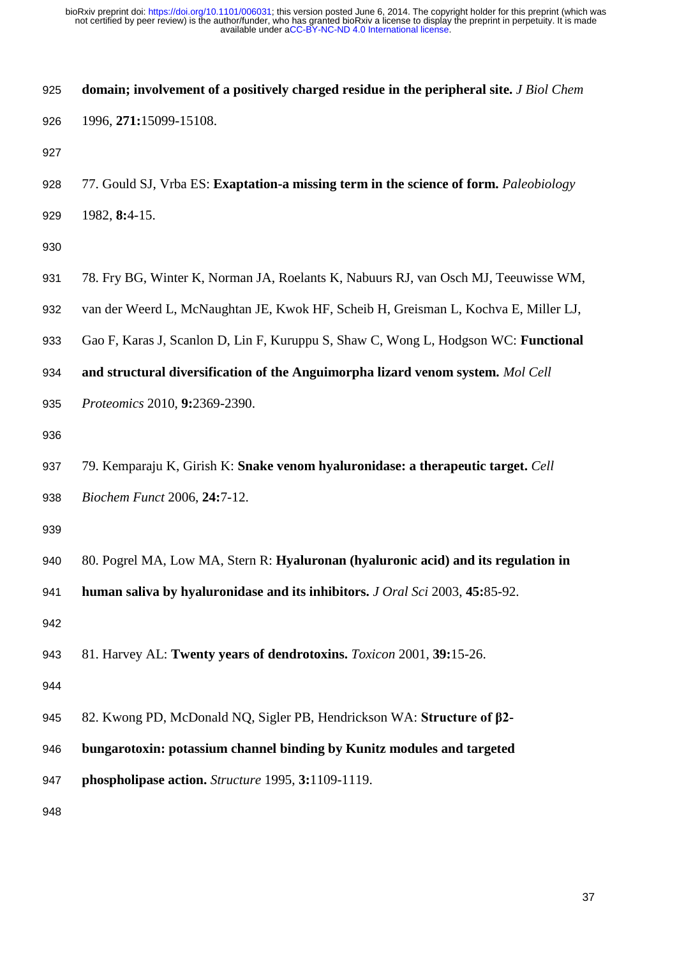| 925 | domain; involvement of a positively charged residue in the peripheral site. J Biol Chem |
|-----|-----------------------------------------------------------------------------------------|
| 926 | 1996, 271:15099-15108.                                                                  |
| 927 |                                                                                         |
| 928 | 77. Gould SJ, Vrba ES: Exaptation-a missing term in the science of form. Paleobiology   |
| 929 | 1982, 8:4-15.                                                                           |
| 930 |                                                                                         |
| 931 | 78. Fry BG, Winter K, Norman JA, Roelants K, Nabuurs RJ, van Osch MJ, Teeuwisse WM,     |
| 932 | van der Weerd L, McNaughtan JE, Kwok HF, Scheib H, Greisman L, Kochva E, Miller LJ,     |
| 933 | Gao F, Karas J, Scanlon D, Lin F, Kuruppu S, Shaw C, Wong L, Hodgson WC: Functional     |
| 934 | and structural diversification of the Anguimorpha lizard venom system. Mol Cell         |
| 935 | Proteomics 2010, 9:2369-2390.                                                           |
| 936 |                                                                                         |
| 937 | 79. Kemparaju K, Girish K: Snake venom hyaluronidase: a therapeutic target. Cell        |
| 938 | Biochem Funct 2006, 24:7-12.                                                            |
| 939 |                                                                                         |
| 940 | 80. Pogrel MA, Low MA, Stern R: Hyaluronan (hyaluronic acid) and its regulation in      |
| 941 | human saliva by hyaluronidase and its inhibitors. J Oral Sci 2003, 45:85-92.            |
| 942 |                                                                                         |
| 943 | 81. Harvey AL: Twenty years of dendrotoxins. Toxicon 2001, 39:15-26.                    |
| 944 |                                                                                         |
| 945 | 82. Kwong PD, McDonald NQ, Sigler PB, Hendrickson WA: Structure of $\beta$ 2-           |
| 946 | bungarotoxin: potassium channel binding by Kunitz modules and targeted                  |
| 947 | phospholipase action. Structure 1995, 3:1109-1119.                                      |
| 948 |                                                                                         |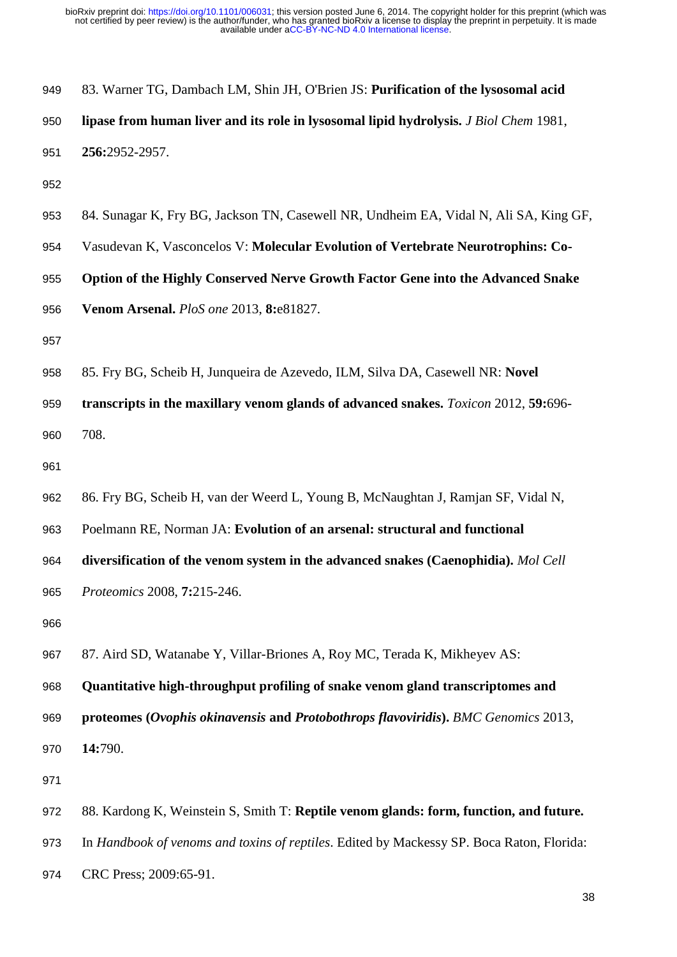| 949 | 83. Warner TG, Dambach LM, Shin JH, O'Brien JS: Purification of the lysosomal acid         |
|-----|--------------------------------------------------------------------------------------------|
| 950 | lipase from human liver and its role in lysosomal lipid hydrolysis. J Biol Chem 1981,      |
| 951 | 256:2952-2957.                                                                             |
| 952 |                                                                                            |
| 953 | 84. Sunagar K, Fry BG, Jackson TN, Casewell NR, Undheim EA, Vidal N, Ali SA, King GF,      |
| 954 | Vasudevan K, Vasconcelos V: Molecular Evolution of Vertebrate Neurotrophins: Co-           |
| 955 | Option of the Highly Conserved Nerve Growth Factor Gene into the Advanced Snake            |
| 956 | Venom Arsenal. PloS one 2013, 8:e81827.                                                    |
| 957 |                                                                                            |
| 958 | 85. Fry BG, Scheib H, Junqueira de Azevedo, ILM, Silva DA, Casewell NR: Novel              |
| 959 | transcripts in the maxillary venom glands of advanced snakes. <i>Toxicon</i> 2012, 59:696- |
| 960 | 708.                                                                                       |
| 961 |                                                                                            |
| 962 | 86. Fry BG, Scheib H, van der Weerd L, Young B, McNaughtan J, Ramjan SF, Vidal N,          |
| 963 | Poelmann RE, Norman JA: Evolution of an arsenal: structural and functional                 |
| 964 | diversification of the venom system in the advanced snakes (Caenophidia). Mol Cell         |
| 965 | Proteomics 2008, 7:215-246.                                                                |
| 966 |                                                                                            |
| 967 | 87. Aird SD, Watanabe Y, Villar-Briones A, Roy MC, Terada K, Mikheyev AS:                  |
| 968 | Quantitative high-throughput profiling of snake venom gland transcriptomes and             |
| 969 | proteomes (Ovophis okinavensis and Protobothrops flavoviridis). BMC Genomics 2013,         |
| 970 | 14:790.                                                                                    |
| 971 |                                                                                            |
| 972 | 88. Kardong K, Weinstein S, Smith T: Reptile venom glands: form, function, and future.     |
| 973 | In Handbook of venoms and toxins of reptiles. Edited by Mackessy SP. Boca Raton, Florida:  |
| 974 | CRC Press; 2009:65-91.                                                                     |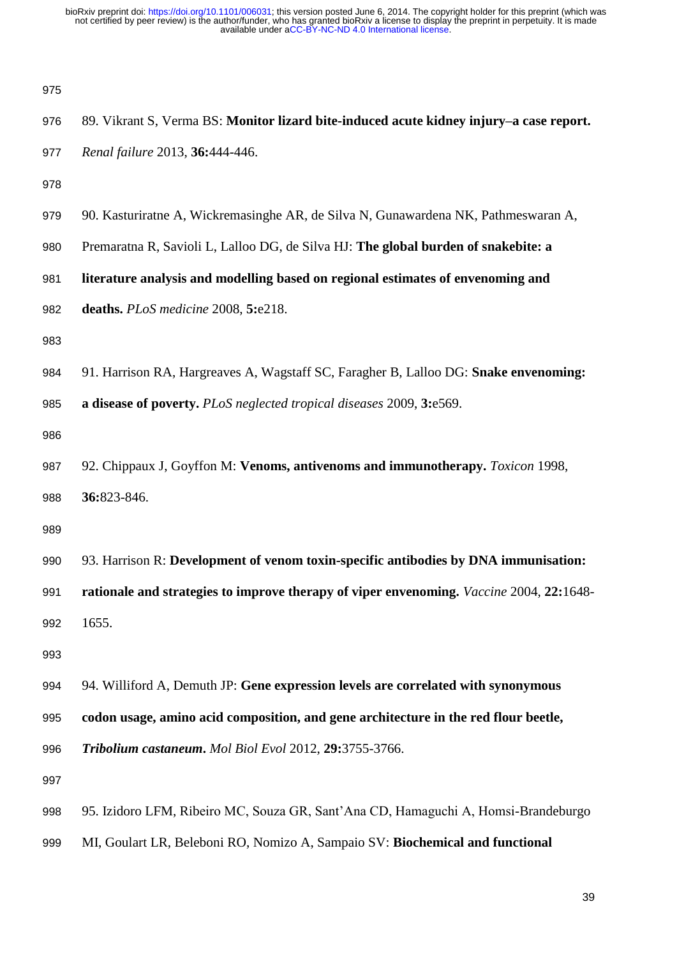| 975 |                                                                                         |
|-----|-----------------------------------------------------------------------------------------|
| 976 | 89. Vikrant S, Verma BS: Monitor lizard bite-induced acute kidney injury-a case report. |
| 977 | Renal failure 2013, 36:444-446.                                                         |
| 978 |                                                                                         |
| 979 | 90. Kasturiratne A, Wickremasinghe AR, de Silva N, Gunawardena NK, Pathmeswaran A,      |
| 980 | Premaratna R, Savioli L, Lalloo DG, de Silva HJ: The global burden of snakebite: a      |
| 981 | literature analysis and modelling based on regional estimates of envenoming and         |
| 982 | deaths. PLoS medicine 2008, 5:e218.                                                     |
| 983 |                                                                                         |
| 984 | 91. Harrison RA, Hargreaves A, Wagstaff SC, Faragher B, Lalloo DG: Snake envenoming:    |
| 985 | a disease of poverty. PLoS neglected tropical diseases 2009, 3:e569.                    |
| 986 |                                                                                         |
| 987 | 92. Chippaux J, Goyffon M: Venoms, antivenoms and immunotherapy. Toxicon 1998,          |
| 988 | 36:823-846.                                                                             |
| 989 |                                                                                         |
| 990 | 93. Harrison R: Development of venom toxin-specific antibodies by DNA immunisation:     |
| 991 | rationale and strategies to improve therapy of viper envenoming. Vaccine 2004, 22:1648- |
| 992 | 1655.                                                                                   |
| 993 |                                                                                         |
| 994 | 94. Williford A, Demuth JP: Gene expression levels are correlated with synonymous       |
| 995 | codon usage, amino acid composition, and gene architecture in the red flour beetle,     |
| 996 | Tribolium castaneum. Mol Biol Evol 2012, 29:3755-3766.                                  |
| 997 |                                                                                         |
| 998 | 95. Izidoro LFM, Ribeiro MC, Souza GR, Sant'Ana CD, Hamaguchi A, Homsi-Brandeburgo      |

MI, Goulart LR, Beleboni RO, Nomizo A, Sampaio SV: **Biochemical and functional**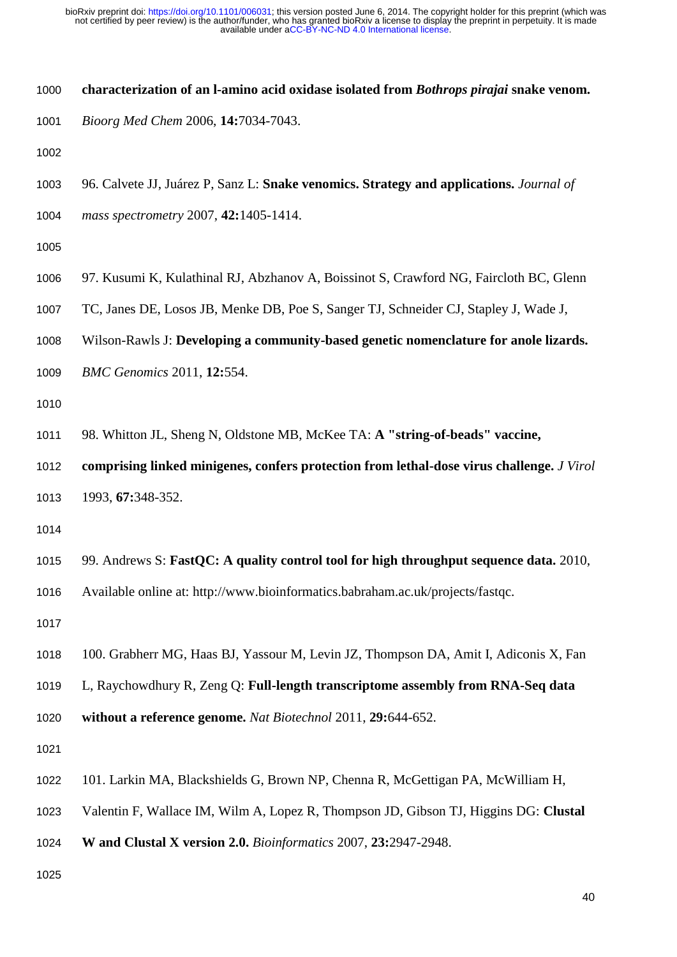- **characterization of an l-amino acid oxidase isolated from** *Bothrops pirajai* **snake venom.**
- *Bioorg Med Chem* 2006, **14:**7034-7043.
- 
- 96. Calvete JJ, Juárez P, Sanz L: **Snake venomics. Strategy and applications.** *Journal of*
- *mass spectrometry* 2007, **42:**1405-1414.
- 
- 97. Kusumi K, Kulathinal RJ, Abzhanov A, Boissinot S, Crawford NG, Faircloth BC, Glenn
- TC, Janes DE, Losos JB, Menke DB, Poe S, Sanger TJ, Schneider CJ, Stapley J, Wade J,
- Wilson-Rawls J: **Developing a community-based genetic nomenclature for anole lizards.**
- *BMC Genomics* 2011, **12:**554.
- 
- 98. Whitton JL, Sheng N, Oldstone MB, McKee TA: **A "string-of-beads" vaccine,**
- **comprising linked minigenes, confers protection from lethal-dose virus challenge.** *J Virol*
- 1993, **67:**348-352.
- 
- 99. Andrews S: **FastQC: A quality control tool for high throughput sequence data.** 2010,
- Available online at: http://www.bioinformatics.babraham.ac.uk/projects/fastqc.
- 
- 100. Grabherr MG, Haas BJ, Yassour M, Levin JZ, Thompson DA, Amit I, Adiconis X, Fan
- L, Raychowdhury R, Zeng Q: **Full-length transcriptome assembly from RNA-Seq data**
- **without a reference genome.** *Nat Biotechnol* 2011, **29:**644-652.
- 
- 101. Larkin MA, Blackshields G, Brown NP, Chenna R, McGettigan PA, McWilliam H,
- Valentin F, Wallace IM, Wilm A, Lopez R, Thompson JD, Gibson TJ, Higgins DG: **Clustal**
- **W and Clustal X version 2.0.** *Bioinformatics* 2007, **23:**2947-2948.
-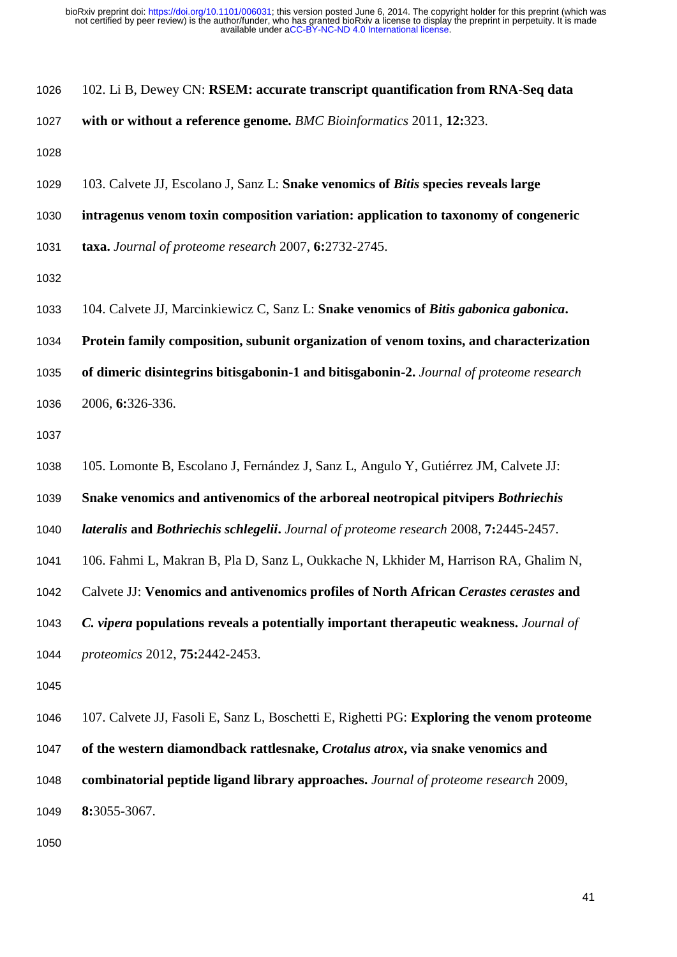| 1026 |  |  |  |  | 102. Li B, Dewey CN: RSEM: accurate transcript quantification from RNA-Seq data |
|------|--|--|--|--|---------------------------------------------------------------------------------|
|------|--|--|--|--|---------------------------------------------------------------------------------|

- **with or without a reference genome.** *BMC Bioinformatics* 2011, **12:**323.
- 
- 103. Calvete JJ, Escolano J, Sanz L: **Snake venomics of** *Bitis* **species reveals large**
- **intragenus venom toxin composition variation: application to taxonomy of congeneric**
- **taxa.** *Journal of proteome research* 2007, **6:**2732-2745.
- 
- 104. Calvete JJ, Marcinkiewicz C, Sanz L: **Snake venomics of** *Bitis gabonica gabonica***.**
- **Protein family composition, subunit organization of venom toxins, and characterization**
- **of dimeric disintegrins bitisgabonin-1 and bitisgabonin-2.** *Journal of proteome research*
- 2006, **6:**326-336.
- 
- 105. Lomonte B, Escolano J, Fernández J, Sanz L, Angulo Y, Gutiérrez JM, Calvete JJ:
- **Snake venomics and antivenomics of the arboreal neotropical pitvipers** *Bothriechis*
- *lateralis* **and** *Bothriechis schlegelii***.** *Journal of proteome research* 2008, **7:**2445-2457.
- 106. Fahmi L, Makran B, Pla D, Sanz L, Oukkache N, Lkhider M, Harrison RA, Ghalim N,
- Calvete JJ: **Venomics and antivenomics profiles of North African** *Cerastes cerastes* **and**
- *C. vipera* **populations reveals a potentially important therapeutic weakness.** *Journal of*
- *proteomics* 2012, **75:**2442-2453.
- 
- 107. Calvete JJ, Fasoli E, Sanz L, Boschetti E, Righetti PG: **Exploring the venom proteome**
- **of the western diamondback rattlesnake,** *Crotalus atrox***, via snake venomics and**
- **combinatorial peptide ligand library approaches.** *Journal of proteome research* 2009,
- **8:**3055-3067.
-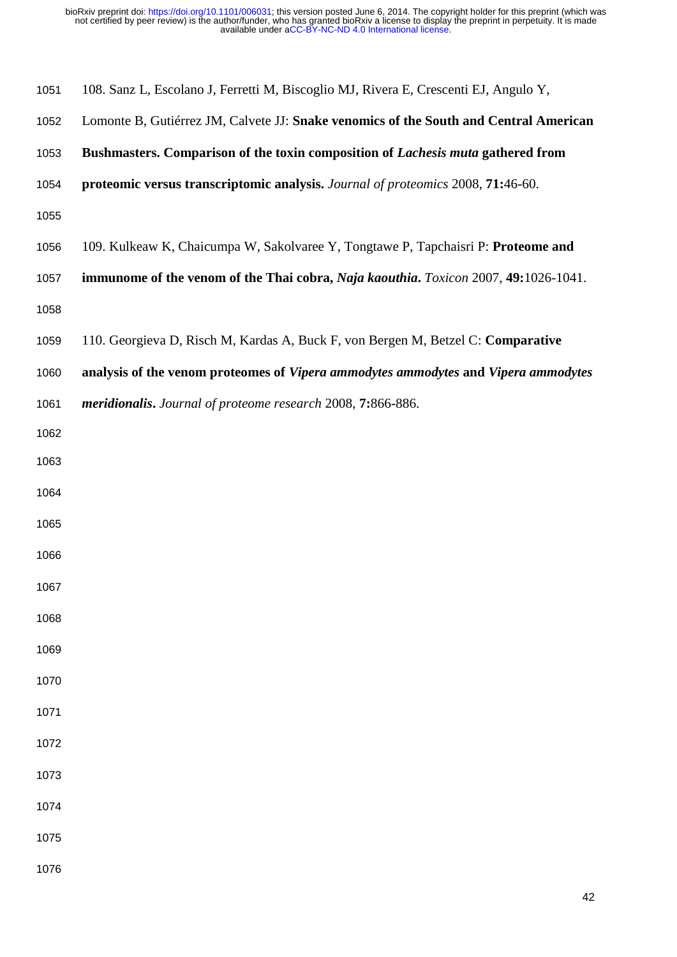| 1051 | 108. Sanz L, Escolano J, Ferretti M, Biscoglio MJ, Rivera E, Crescenti EJ, Angulo Y,  |
|------|---------------------------------------------------------------------------------------|
| 1052 | Lomonte B, Gutiérrez JM, Calvete JJ: Snake venomics of the South and Central American |
| 1053 | Bushmasters. Comparison of the toxin composition of Lachesis muta gathered from       |
| 1054 | proteomic versus transcriptomic analysis. Journal of proteomics 2008, 71:46-60.       |
| 1055 |                                                                                       |
| 1056 | 109. Kulkeaw K, Chaicumpa W, Sakolvaree Y, Tongtawe P, Tapchaisri P: Proteome and     |
| 1057 | immunome of the venom of the Thai cobra, Naja kaouthia. Toxicon 2007, 49:1026-1041.   |
| 1058 |                                                                                       |
| 1059 | 110. Georgieva D, Risch M, Kardas A, Buck F, von Bergen M, Betzel C: Comparative      |
| 1060 | analysis of the venom proteomes of Vipera ammodytes ammodytes and Vipera ammodytes    |
| 1061 | meridionalis. Journal of proteome research 2008, 7:866-886.                           |
| 1062 |                                                                                       |
| 1063 |                                                                                       |
| 1064 |                                                                                       |
| 1065 |                                                                                       |
| 1066 |                                                                                       |
| 1067 |                                                                                       |
| 1068 |                                                                                       |
| 1069 |                                                                                       |
| 1070 |                                                                                       |
| 1071 |                                                                                       |
| 1072 |                                                                                       |
| 1073 |                                                                                       |
| 1074 |                                                                                       |
| 1075 |                                                                                       |
| 1076 |                                                                                       |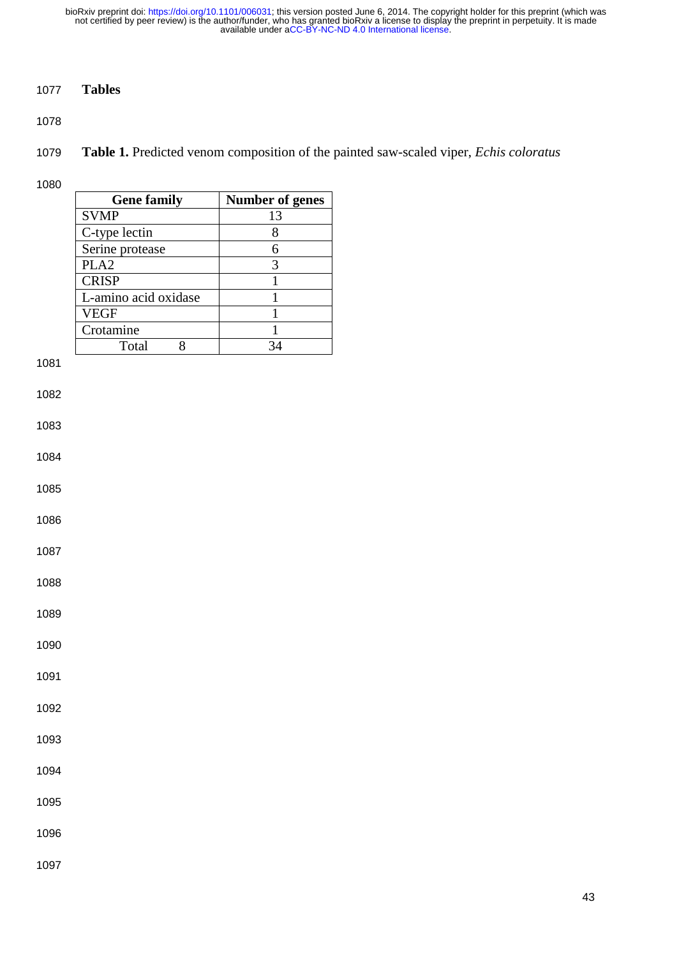# **Tables**

**Table 1.** Predicted venom composition of the painted saw-scaled viper, *Echis coloratus*

|      | <b>Gene family</b>   | <b>Number of genes</b> |
|------|----------------------|------------------------|
|      | <b>SVMP</b>          | 13                     |
|      | C-type lectin        | 8                      |
|      | Serine protease      | 6                      |
|      | PLA <sub>2</sub>     | 3                      |
|      | <b>CRISP</b>         | $\overline{1}$         |
|      | L-amino acid oxidase | $\mathbf{1}$           |
|      | <b>VEGF</b>          | $\mathbf{1}$           |
|      | Crotamine            | $\mathbf{1}$           |
|      | Total<br>8           | 34                     |
| 1081 |                      |                        |
|      |                      |                        |
| 1082 |                      |                        |
| 1083 |                      |                        |
|      |                      |                        |
| 1084 |                      |                        |
|      |                      |                        |
| 1085 |                      |                        |
|      |                      |                        |
| 1086 |                      |                        |
|      |                      |                        |
| 1087 |                      |                        |
| 1088 |                      |                        |
|      |                      |                        |
| 1089 |                      |                        |
|      |                      |                        |
| 1090 |                      |                        |
|      |                      |                        |
| 1091 |                      |                        |
|      |                      |                        |
| 1092 |                      |                        |
|      |                      |                        |
| 1093 |                      |                        |
| 1094 |                      |                        |
|      |                      |                        |
| 1095 |                      |                        |
|      |                      |                        |
| 1096 |                      |                        |
|      |                      |                        |
| 1097 |                      |                        |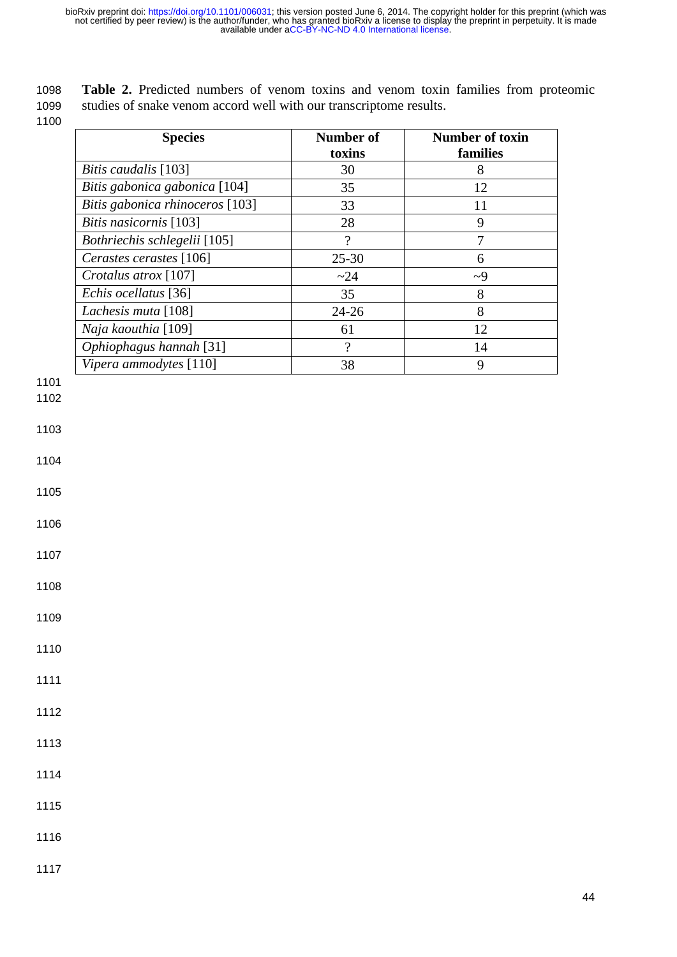1098 **Table 2.** Predicted numbers of venom toxins and venom toxin families from proteomic 1099 studies of snake venom accord well with our transcriptome results.

| toxins<br>families<br>Bitis caudalis [103]<br>30<br>8<br>Bitis gabonica gabonica [104]<br>35<br>12<br>Bitis gabonica rhinoceros [103]<br>33<br>11<br>Bitis nasicornis [103]<br>$\mathbf{9}$<br>28<br>Bothriechis schlegelii [105]<br>$\gamma$<br>$\overline{7}$<br>Cerastes cerastes [106]<br>$25 - 30$<br>6<br>Crotalus atrox [107]<br>~24<br>$-9$<br>Echis ocellatus [36]<br>35<br>$8\,$<br>Lachesis muta [108]<br>$24 - 26$<br>8<br>Naja kaouthia [109]<br>12<br>61<br>Ophiophagus hannah [31]<br>$\overline{?}$<br>14<br>Vipera ammodytes [110]<br>38<br>9<br>1103<br>1104<br>1105<br>1108<br>1109<br>1112<br>1113<br>1114 |      | <b>Species</b> | Number of | <b>Number of toxin</b> |
|--------------------------------------------------------------------------------------------------------------------------------------------------------------------------------------------------------------------------------------------------------------------------------------------------------------------------------------------------------------------------------------------------------------------------------------------------------------------------------------------------------------------------------------------------------------------------------------------------------------------------------|------|----------------|-----------|------------------------|
|                                                                                                                                                                                                                                                                                                                                                                                                                                                                                                                                                                                                                                |      |                |           |                        |
|                                                                                                                                                                                                                                                                                                                                                                                                                                                                                                                                                                                                                                |      |                |           |                        |
|                                                                                                                                                                                                                                                                                                                                                                                                                                                                                                                                                                                                                                |      |                |           |                        |
|                                                                                                                                                                                                                                                                                                                                                                                                                                                                                                                                                                                                                                |      |                |           |                        |
|                                                                                                                                                                                                                                                                                                                                                                                                                                                                                                                                                                                                                                |      |                |           |                        |
|                                                                                                                                                                                                                                                                                                                                                                                                                                                                                                                                                                                                                                |      |                |           |                        |
|                                                                                                                                                                                                                                                                                                                                                                                                                                                                                                                                                                                                                                |      |                |           |                        |
|                                                                                                                                                                                                                                                                                                                                                                                                                                                                                                                                                                                                                                |      |                |           |                        |
|                                                                                                                                                                                                                                                                                                                                                                                                                                                                                                                                                                                                                                |      |                |           |                        |
|                                                                                                                                                                                                                                                                                                                                                                                                                                                                                                                                                                                                                                |      |                |           |                        |
|                                                                                                                                                                                                                                                                                                                                                                                                                                                                                                                                                                                                                                |      |                |           |                        |
|                                                                                                                                                                                                                                                                                                                                                                                                                                                                                                                                                                                                                                |      |                |           |                        |
|                                                                                                                                                                                                                                                                                                                                                                                                                                                                                                                                                                                                                                |      |                |           |                        |
|                                                                                                                                                                                                                                                                                                                                                                                                                                                                                                                                                                                                                                | 1101 |                |           |                        |
|                                                                                                                                                                                                                                                                                                                                                                                                                                                                                                                                                                                                                                | 1102 |                |           |                        |
|                                                                                                                                                                                                                                                                                                                                                                                                                                                                                                                                                                                                                                |      |                |           |                        |
|                                                                                                                                                                                                                                                                                                                                                                                                                                                                                                                                                                                                                                |      |                |           |                        |
|                                                                                                                                                                                                                                                                                                                                                                                                                                                                                                                                                                                                                                |      |                |           |                        |
|                                                                                                                                                                                                                                                                                                                                                                                                                                                                                                                                                                                                                                |      |                |           |                        |
|                                                                                                                                                                                                                                                                                                                                                                                                                                                                                                                                                                                                                                |      |                |           |                        |
|                                                                                                                                                                                                                                                                                                                                                                                                                                                                                                                                                                                                                                |      |                |           |                        |
|                                                                                                                                                                                                                                                                                                                                                                                                                                                                                                                                                                                                                                | 1106 |                |           |                        |
|                                                                                                                                                                                                                                                                                                                                                                                                                                                                                                                                                                                                                                |      |                |           |                        |
|                                                                                                                                                                                                                                                                                                                                                                                                                                                                                                                                                                                                                                | 1107 |                |           |                        |
|                                                                                                                                                                                                                                                                                                                                                                                                                                                                                                                                                                                                                                |      |                |           |                        |
|                                                                                                                                                                                                                                                                                                                                                                                                                                                                                                                                                                                                                                |      |                |           |                        |
|                                                                                                                                                                                                                                                                                                                                                                                                                                                                                                                                                                                                                                |      |                |           |                        |
|                                                                                                                                                                                                                                                                                                                                                                                                                                                                                                                                                                                                                                |      |                |           |                        |
|                                                                                                                                                                                                                                                                                                                                                                                                                                                                                                                                                                                                                                | 1110 |                |           |                        |
|                                                                                                                                                                                                                                                                                                                                                                                                                                                                                                                                                                                                                                |      |                |           |                        |
|                                                                                                                                                                                                                                                                                                                                                                                                                                                                                                                                                                                                                                | 1111 |                |           |                        |
|                                                                                                                                                                                                                                                                                                                                                                                                                                                                                                                                                                                                                                |      |                |           |                        |
|                                                                                                                                                                                                                                                                                                                                                                                                                                                                                                                                                                                                                                |      |                |           |                        |
|                                                                                                                                                                                                                                                                                                                                                                                                                                                                                                                                                                                                                                |      |                |           |                        |
|                                                                                                                                                                                                                                                                                                                                                                                                                                                                                                                                                                                                                                |      |                |           |                        |
|                                                                                                                                                                                                                                                                                                                                                                                                                                                                                                                                                                                                                                |      |                |           |                        |
|                                                                                                                                                                                                                                                                                                                                                                                                                                                                                                                                                                                                                                |      |                |           |                        |
|                                                                                                                                                                                                                                                                                                                                                                                                                                                                                                                                                                                                                                | 1115 |                |           |                        |
|                                                                                                                                                                                                                                                                                                                                                                                                                                                                                                                                                                                                                                |      |                |           |                        |
|                                                                                                                                                                                                                                                                                                                                                                                                                                                                                                                                                                                                                                | 1116 |                |           |                        |
|                                                                                                                                                                                                                                                                                                                                                                                                                                                                                                                                                                                                                                | 1117 |                |           |                        |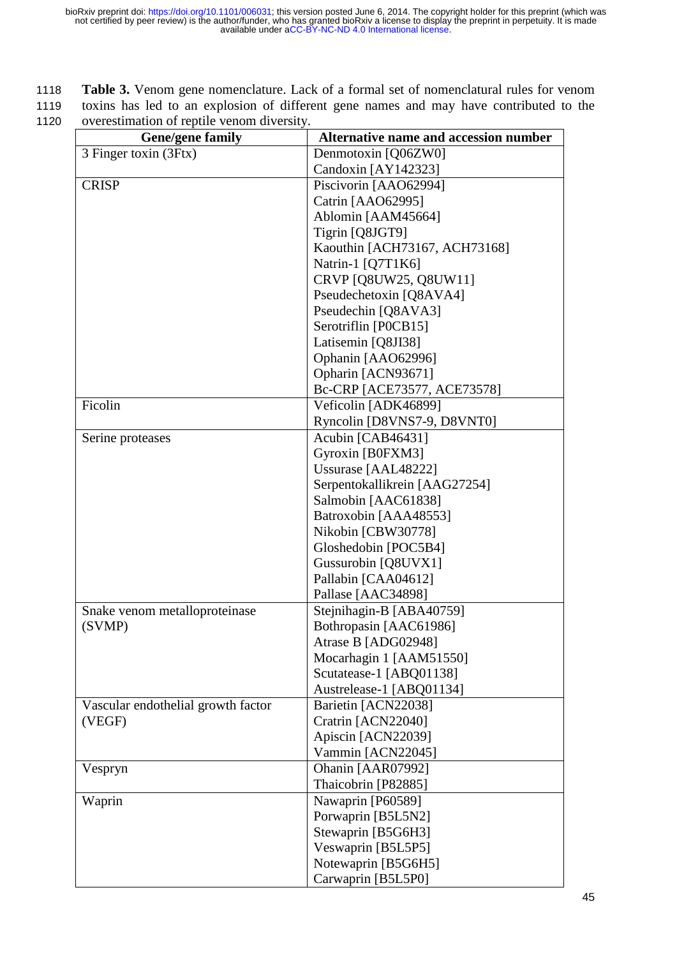1118 **Table 3.** Venom gene nomenclature. Lack of a formal set of nomenclatural rules for venom 1119 toxins has led to an explosion of different gene names and may have contributed to the 1120 overestimation of reptile venom diversity.

| <b>Gene/gene family</b>            | Alternative name and accession number |
|------------------------------------|---------------------------------------|
| 3 Finger toxin (3Ftx)              | Denmotoxin [Q06ZW0]                   |
|                                    | Candoxin [AY142323]                   |
| <b>CRISP</b>                       | Piscivorin [AAO62994]                 |
|                                    | Catrin [AAO62995]                     |
|                                    | Ablomin [AAM45664]                    |
|                                    | Tigrin [Q8JGT9]                       |
|                                    | Kaouthin [ACH73167, ACH73168]         |
|                                    | Natrin-1 [Q7T1K6]                     |
|                                    | CRVP [Q8UW25, Q8UW11]                 |
|                                    | Pseudechetoxin [Q8AVA4]               |
|                                    | Pseudechin [Q8AVA3]                   |
|                                    | Serotriflin [P0CB15]                  |
|                                    | Latisemin [Q8JI38]                    |
|                                    | Ophanin [AAO62996]                    |
|                                    | Opharin [ACN93671]                    |
|                                    | Bc-CRP [ACE73577, ACE73578]           |
| Ficolin                            | Veficolin [ADK46899]                  |
|                                    | Ryncolin [D8VNS7-9, D8VNT0]           |
| Serine proteases                   | Acubin [CAB46431]                     |
|                                    | Gyroxin [B0FXM3]                      |
|                                    | Ussurase [AAL48222]                   |
|                                    | Serpentokallikrein [AAG27254]         |
|                                    | Salmobin [AAC61838]                   |
|                                    | Batroxobin [AAA48553]                 |
|                                    | Nikobin [CBW30778]                    |
|                                    | Gloshedobin [POC5B4]                  |
|                                    | Gussurobin [Q8UVX1]                   |
|                                    | Pallabin [CAA04612]                   |
|                                    | Pallase [AAC34898]                    |
| Snake venom metalloproteinase      | Stejnihagin-B [ABA40759]              |
| (SVMP)                             | Bothropasin [AAC61986]                |
|                                    | Atrase B [ADG02948]                   |
|                                    | Mocarhagin 1 [AAM51550]               |
|                                    | Scutatease-1 [ABQ01138]               |
|                                    | Austrelease-1 [ABQ01134]              |
| Vascular endothelial growth factor | Barietin [ACN22038]                   |
| (VEGF)                             | Cratrin [ACN22040]                    |
|                                    | Apiscin [ACN22039]                    |
|                                    | Vammin [ACN22045]                     |
| Vespryn                            | Ohanin [AAR07992]                     |
|                                    | Thaicobrin [P82885]                   |
| Waprin                             | Nawaprin [P60589]                     |
|                                    | Porwaprin [B5L5N2]                    |
|                                    | Stewaprin [B5G6H3]                    |
|                                    | Veswaprin [B5L5P5]                    |
|                                    | Notewaprin [B5G6H5]                   |
|                                    | Carwaprin [B5L5P0]                    |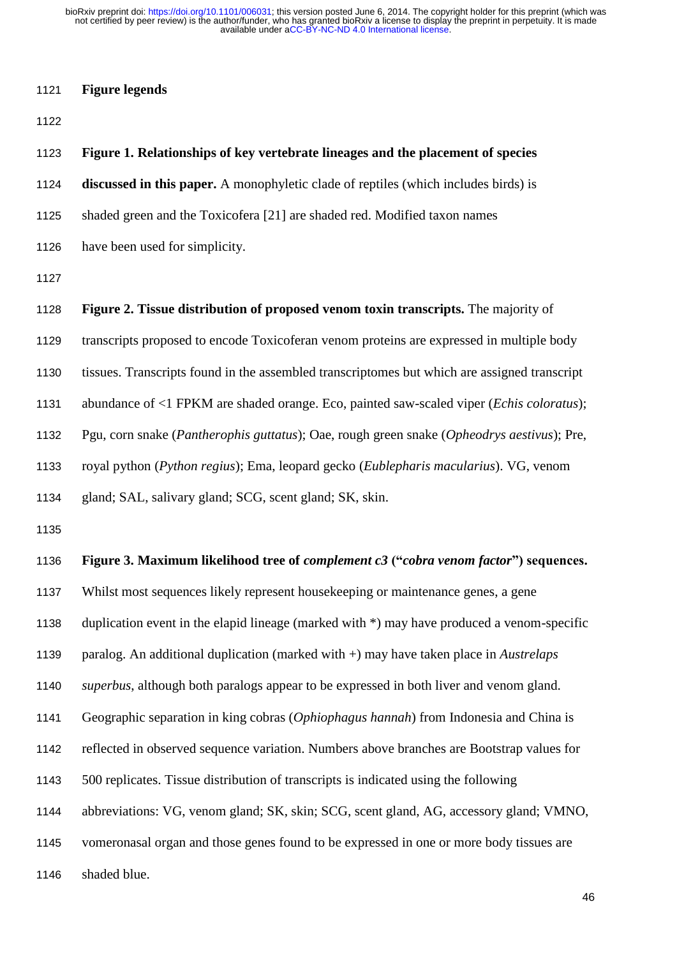#### **Figure legends**

#### **Figure 1. Relationships of key vertebrate lineages and the placement of species**

**discussed in this paper.** A monophyletic clade of reptiles (which includes birds) is

- shaded green and the Toxicofera [21] are shaded red. Modified taxon names
- have been used for simplicity.

 **Figure 2. Tissue distribution of proposed venom toxin transcripts.** The majority of transcripts proposed to encode Toxicoferan venom proteins are expressed in multiple body tissues. Transcripts found in the assembled transcriptomes but which are assigned transcript abundance of <1 FPKM are shaded orange. Eco, painted saw-scaled viper (*Echis coloratus*); Pgu, corn snake (*Pantherophis guttatus*); Oae, rough green snake (*Opheodrys aestivus*); Pre, royal python (*Python regius*); Ema, leopard gecko (*Eublepharis macularius*). VG, venom gland; SAL, salivary gland; SCG, scent gland; SK, skin. **Figure 3. Maximum likelihood tree of** *complement c3* **("***cobra venom factor***") sequences.** Whilst most sequences likely represent housekeeping or maintenance genes, a gene duplication event in the elapid lineage (marked with \*) may have produced a venom-specific paralog. An additional duplication (marked with +) may have taken place in *Austrelaps superbus*, although both paralogs appear to be expressed in both liver and venom gland. Geographic separation in king cobras (*Ophiophagus hannah*) from Indonesia and China is reflected in observed sequence variation. Numbers above branches are Bootstrap values for 500 replicates. Tissue distribution of transcripts is indicated using the following abbreviations: VG, venom gland; SK, skin; SCG, scent gland, AG, accessory gland; VMNO, vomeronasal organ and those genes found to be expressed in one or more body tissues are shaded blue.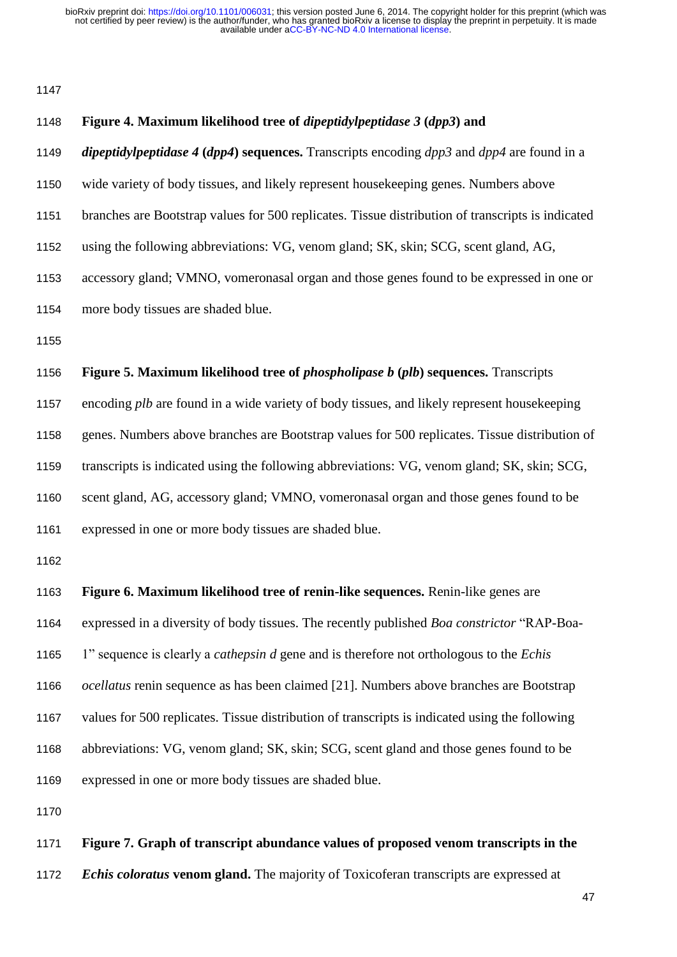| 1148 | Figure 4. Maximum likelihood tree of <i>dipeptidylpeptidase 3 (dpp3)</i> and                             |
|------|----------------------------------------------------------------------------------------------------------|
| 1149 | <i>dipeptidylpeptidase</i> 4 ( $dpp4$ ) sequences. Transcripts encoding $dpp3$ and $dpp4$ are found in a |
| 1150 | wide variety of body tissues, and likely represent housekeeping genes. Numbers above                     |
| 1151 | branches are Bootstrap values for 500 replicates. Tissue distribution of transcripts is indicated        |
| 1152 | using the following abbreviations: VG, venom gland; SK, skin; SCG, scent gland, AG,                      |
| 1153 | accessory gland; VMNO, vomeronasal organ and those genes found to be expressed in one or                 |
| 1154 | more body tissues are shaded blue.                                                                       |
| 1155 |                                                                                                          |
| 1156 | Figure 5. Maximum likelihood tree of <i>phospholipase b (plb)</i> sequences. Transcripts                 |
| 1157 | encoding plb are found in a wide variety of body tissues, and likely represent housekeeping              |
| 1158 | genes. Numbers above branches are Bootstrap values for 500 replicates. Tissue distribution of            |
| 1159 | transcripts is indicated using the following abbreviations: VG, venom gland; SK, skin; SCG,              |
| 1160 | scent gland, AG, accessory gland; VMNO, vomeronasal organ and those genes found to be                    |
| 1161 | expressed in one or more body tissues are shaded blue.                                                   |
| 1162 |                                                                                                          |
| 1163 | Figure 6. Maximum likelihood tree of renin-like sequences. Renin-like genes are                          |
| 1164 | expressed in a diversity of body tissues. The recently published <i>Boa constrictor</i> "RAP-Boa-        |
| 1165 | 1" sequence is clearly a <i>cathepsin d</i> gene and is therefore not orthologous to the <i>Echis</i>    |
| 1166 | <i>ocellatus</i> renin sequence as has been claimed [21]. Numbers above branches are Bootstrap           |
| 1167 | values for 500 replicates. Tissue distribution of transcripts is indicated using the following           |
| 1168 | abbreviations: VG, venom gland; SK, skin; SCG, scent gland and those genes found to be                   |
| 1169 | expressed in one or more body tissues are shaded blue.                                                   |
| 1170 |                                                                                                          |
| 1171 | Figure 7. Graph of transcript abundance values of proposed venom transcripts in the                      |
| 1172 | <i>Echis coloratus</i> venom gland. The majority of Toxicoferan transcripts are expressed at             |